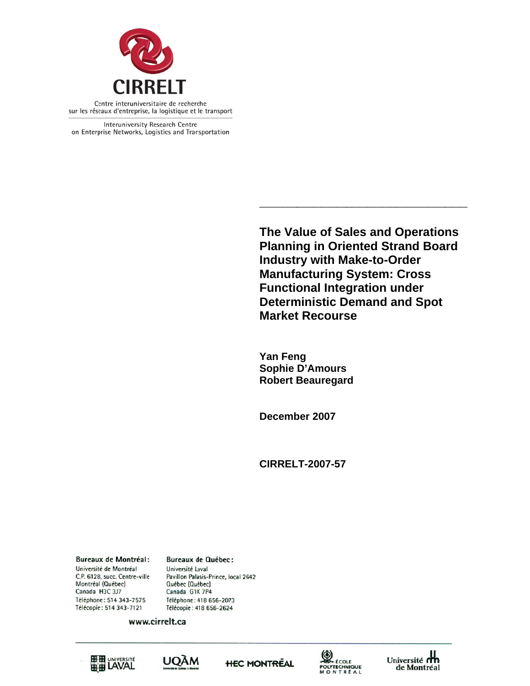

Interuniversity Research Centre on Enterprise Networks, Logistics and Transportation

> **The Value of Sales and Operations Planning in Oriented Strand Board Industry with Make-to-Order Manufacturing System: Cross Functional Integration under Deterministic Demand and Spot Market Recourse**

**\_\_\_\_\_\_\_**

**\_\_\_\_\_\_\_\_**

**\_\_\_** 

Yan Feng **Sophie D'Amours Robert Beauregard** 

**\_\_\_\_\_**

**\_\_\_\_\_\_\_\_**

December 2007

**CIRREL LT-2007-57**

**Bureaux de Montréal:** Université de Montréal C.P. 6128, succ. Centre-ville Montréal (Québec) Canada H3C 3J7 Téléphone: 514 343-7575 Télécopie: 514 343-7121

**Bureaux de Québec:** Université Laval Pavillon Palasis-Prince, local 2642 Québec (Québec) Canada G1K 7P4 Téléphone: 418 656-2073 Télécopie: 418 656-2624

www.cirrelt.ca









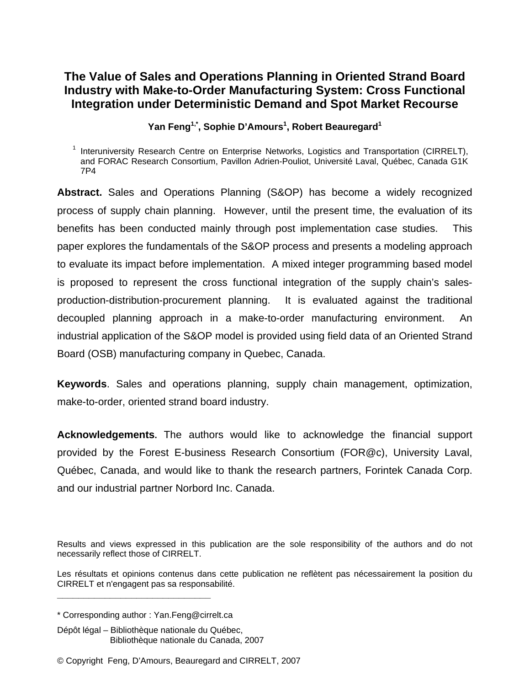# Yan Feng<sup>1,\*</sup>, Sophie D'Amours<sup>1</sup>, Robert Beauregard<sup>1</sup>

**Abstract.** Sales and Operations Planning (S&OP) has become a widely recognized process of supply chain planning. However, until the present time, the evaluation of its benefits has been conducted mainly through post implementation case studies. This paper explores the fundamentals of the S&OP process and presents a modeling approach to evaluate its impact before implementation. A mixed integer programming based model is proposed to represent the cross functional integration of the supply chain's salesproduction-distribution-procurement planning. It is evaluated against the traditional decoupled planning approach in a make-to-order manufacturing environment. An industrial application of the S&OP model is provided using field data of an Oriented Strand Board (OSB) manufacturing company in Quebec, Canada.

**Keywords**. Sales and operations planning, supply chain management, optimization, make-to-order, oriented strand board industry.

**Acknowledgements.** The authors would like to acknowledge the financial support provided by the Forest E-business Research Consortium (FOR@c), University Laval, Québec, Canada, and would like to thank the research partners, Forintek Canada Corp. and our industrial partner Norbord Inc. Canada.

Results and views expressed in this publication are the sole responsibility of the authors and do not necessarily reflect those of CIRRELT.

Les résultats et opinions contenus dans cette publication ne reflètent pas nécessairement la position du CIRRELT et n'engagent pas sa responsabilité.

**\_\_\_\_\_\_\_\_\_\_\_\_\_\_\_\_\_\_\_\_\_\_\_\_\_\_\_\_\_**

<sup>&</sup>lt;sup>1</sup> Interuniversity Research Centre on Enterprise Networks, Logistics and Transportation (CIRRELT), and FORAC Research Consortium, Pavillon Adrien-Pouliot, Université Laval, Québec, Canada G1K 7P4

<sup>\*</sup> Corresponding author : Yan.Feng@cirrelt.ca

Dépôt légal – Bibliothèque nationale du Québec, Bibliothèque nationale du Canada, 2007

<sup>©</sup> Copyright Feng, D'Amours, Beauregard and CIRRELT, 2007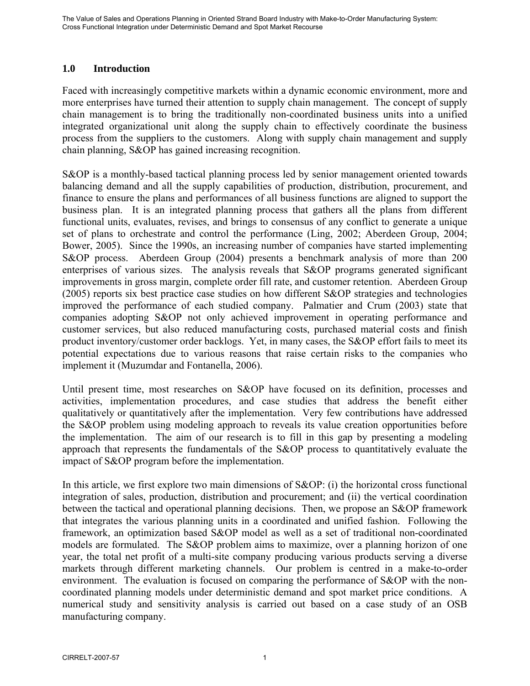## **1.0 Introduction**

Faced with increasingly competitive markets within a dynamic economic environment, more and more enterprises have turned their attention to supply chain management. The concept of supply chain management is to bring the traditionally non-coordinated business units into a unified integrated organizational unit along the supply chain to effectively coordinate the business process from the suppliers to the customers. Along with supply chain management and supply chain planning, S&OP has gained increasing recognition.

S&OP is a monthly-based tactical planning process led by senior management oriented towards balancing demand and all the supply capabilities of production, distribution, procurement, and finance to ensure the plans and performances of all business functions are aligned to support the business plan. It is an integrated planning process that gathers all the plans from different functional units, evaluates, revises, and brings to consensus of any conflict to generate a unique set of plans to orchestrate and control the performance (Ling, 2002; Aberdeen Group, 2004; Bower, 2005). Since the 1990s, an increasing number of companies have started implementing S&OP process. Aberdeen Group (2004) presents a benchmark analysis of more than 200 enterprises of various sizes. The analysis reveals that S&OP programs generated significant improvements in gross margin, complete order fill rate, and customer retention. Aberdeen Group (2005) reports six best practice case studies on how different S&OP strategies and technologies improved the performance of each studied company. Palmatier and Crum (2003) state that companies adopting S&OP not only achieved improvement in operating performance and customer services, but also reduced manufacturing costs, purchased material costs and finish product inventory/customer order backlogs. Yet, in many cases, the S&OP effort fails to meet its potential expectations due to various reasons that raise certain risks to the companies who implement it (Muzumdar and Fontanella, 2006).

Until present time, most researches on S&OP have focused on its definition, processes and activities, implementation procedures, and case studies that address the benefit either qualitatively or quantitatively after the implementation. Very few contributions have addressed the S&OP problem using modeling approach to reveals its value creation opportunities before the implementation. The aim of our research is to fill in this gap by presenting a modeling approach that represents the fundamentals of the S&OP process to quantitatively evaluate the impact of S&OP program before the implementation.

In this article, we first explore two main dimensions of S&OP: (i) the horizontal cross functional integration of sales, production, distribution and procurement; and (ii) the vertical coordination between the tactical and operational planning decisions. Then, we propose an S&OP framework that integrates the various planning units in a coordinated and unified fashion. Following the framework, an optimization based S&OP model as well as a set of traditional non-coordinated models are formulated. The S&OP problem aims to maximize, over a planning horizon of one year, the total net profit of a multi-site company producing various products serving a diverse markets through different marketing channels. Our problem is centred in a make-to-order environment. The evaluation is focused on comparing the performance of S&OP with the noncoordinated planning models under deterministic demand and spot market price conditions. A numerical study and sensitivity analysis is carried out based on a case study of an OSB manufacturing company.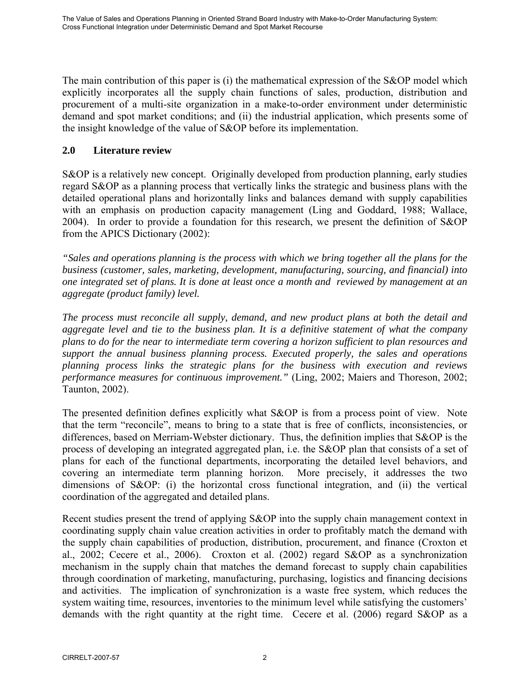The main contribution of this paper is (i) the mathematical expression of the S&OP model which explicitly incorporates all the supply chain functions of sales, production, distribution and procurement of a multi-site organization in a make-to-order environment under deterministic demand and spot market conditions; and (ii) the industrial application, which presents some of the insight knowledge of the value of S&OP before its implementation.

## **2.0 Literature review**

S&OP is a relatively new concept. Originally developed from production planning, early studies regard S&OP as a planning process that vertically links the strategic and business plans with the detailed operational plans and horizontally links and balances demand with supply capabilities with an emphasis on production capacity management (Ling and Goddard, 1988; Wallace, 2004). In order to provide a foundation for this research, we present the definition of S&OP from the APICS Dictionary (2002):

*"Sales and operations planning is the process with which we bring together all the plans for the business (customer, sales, marketing, development, manufacturing, sourcing, and financial) into one integrated set of plans. It is done at least once a month and reviewed by management at an aggregate (product family) level.* 

*The process must reconcile all supply, demand, and new product plans at both the detail and aggregate level and tie to the business plan. It is a definitive statement of what the company plans to do for the near to intermediate term covering a horizon sufficient to plan resources and support the annual business planning process. Executed properly, the sales and operations planning process links the strategic plans for the business with execution and reviews performance measures for continuous improvement."* (Ling, 2002; Maiers and Thoreson, 2002; Taunton, 2002).

The presented definition defines explicitly what S&OP is from a process point of view. Note that the term "reconcile", means to bring to a state that is free of conflicts, inconsistencies, or differences, based on Merriam-Webster dictionary. Thus, the definition implies that S&OP is the process of developing an integrated aggregated plan, i.e. the S&OP plan that consists of a set of plans for each of the functional departments, incorporating the detailed level behaviors, and covering an intermediate term planning horizon. More precisely, it addresses the two dimensions of S&OP: (i) the horizontal cross functional integration, and (ii) the vertical coordination of the aggregated and detailed plans.

Recent studies present the trend of applying S&OP into the supply chain management context in coordinating supply chain value creation activities in order to profitably match the demand with the supply chain capabilities of production, distribution, procurement, and finance (Croxton et al., 2002; Cecere et al., 2006). Croxton et al. (2002) regard S&OP as a synchronization mechanism in the supply chain that matches the demand forecast to supply chain capabilities through coordination of marketing, manufacturing, purchasing, logistics and financing decisions and activities. The implication of synchronization is a waste free system, which reduces the system waiting time, resources, inventories to the minimum level while satisfying the customers' demands with the right quantity at the right time. Cecere et al. (2006) regard S&OP as a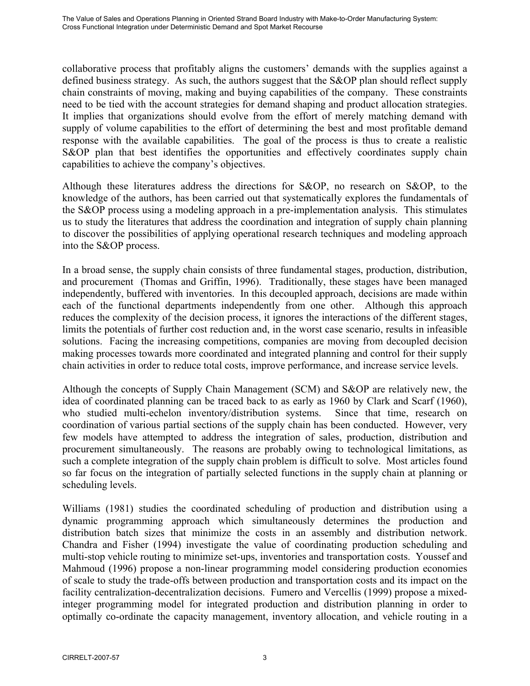collaborative process that profitably aligns the customers' demands with the supplies against a defined business strategy. As such, the authors suggest that the S&OP plan should reflect supply chain constraints of moving, making and buying capabilities of the company. These constraints need to be tied with the account strategies for demand shaping and product allocation strategies. It implies that organizations should evolve from the effort of merely matching demand with supply of volume capabilities to the effort of determining the best and most profitable demand response with the available capabilities. The goal of the process is thus to create a realistic S&OP plan that best identifies the opportunities and effectively coordinates supply chain capabilities to achieve the company's objectives.

Although these literatures address the directions for S&OP, no research on S&OP, to the knowledge of the authors, has been carried out that systematically explores the fundamentals of the S&OP process using a modeling approach in a pre-implementation analysis. This stimulates us to study the literatures that address the coordination and integration of supply chain planning to discover the possibilities of applying operational research techniques and modeling approach into the S&OP process.

In a broad sense, the supply chain consists of three fundamental stages, production, distribution, and procurement (Thomas and Griffin, 1996). Traditionally, these stages have been managed independently, buffered with inventories. In this decoupled approach, decisions are made within each of the functional departments independently from one other. Although this approach reduces the complexity of the decision process, it ignores the interactions of the different stages, limits the potentials of further cost reduction and, in the worst case scenario, results in infeasible solutions. Facing the increasing competitions, companies are moving from decoupled decision making processes towards more coordinated and integrated planning and control for their supply chain activities in order to reduce total costs, improve performance, and increase service levels.

Although the concepts of Supply Chain Management (SCM) and S&OP are relatively new, the idea of coordinated planning can be traced back to as early as 1960 by Clark and Scarf (1960), who studied multi-echelon inventory/distribution systems. Since that time, research on coordination of various partial sections of the supply chain has been conducted. However, very few models have attempted to address the integration of sales, production, distribution and procurement simultaneously. The reasons are probably owing to technological limitations, as such a complete integration of the supply chain problem is difficult to solve. Most articles found so far focus on the integration of partially selected functions in the supply chain at planning or scheduling levels.

Williams (1981) studies the coordinated scheduling of production and distribution using a dynamic programming approach which simultaneously determines the production and distribution batch sizes that minimize the costs in an assembly and distribution network. Chandra and Fisher (1994) investigate the value of coordinating production scheduling and multi-stop vehicle routing to minimize set-ups, inventories and transportation costs. Youssef and Mahmoud (1996) propose a non-linear programming model considering production economies of scale to study the trade-offs between production and transportation costs and its impact on the facility centralization-decentralization decisions. Fumero and Vercellis (1999) propose a mixedinteger programming model for integrated production and distribution planning in order to optimally co-ordinate the capacity management, inventory allocation, and vehicle routing in a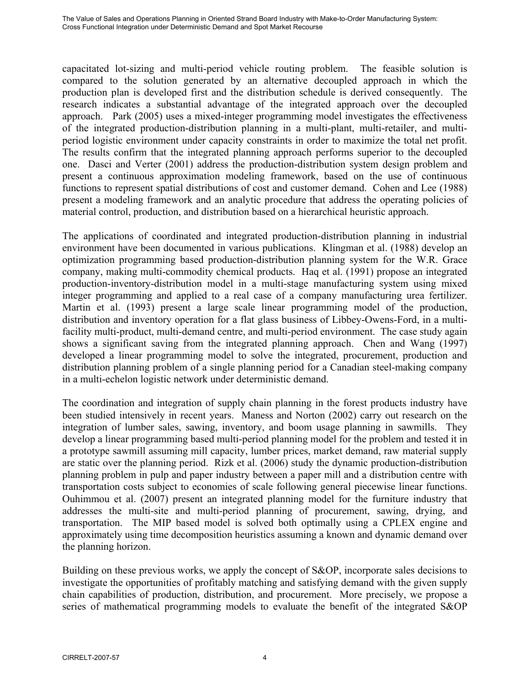capacitated lot-sizing and multi-period vehicle routing problem. The feasible solution is compared to the solution generated by an alternative decoupled approach in which the production plan is developed first and the distribution schedule is derived consequently. The research indicates a substantial advantage of the integrated approach over the decoupled approach. Park (2005) uses a mixed-integer programming model investigates the effectiveness of the integrated production-distribution planning in a multi-plant, multi-retailer, and multiperiod logistic environment under capacity constraints in order to maximize the total net profit. The results confirm that the integrated planning approach performs superior to the decoupled one. Dasci and Verter (2001) address the production-distribution system design problem and present a continuous approximation modeling framework, based on the use of continuous functions to represent spatial distributions of cost and customer demand. Cohen and Lee (1988) present a modeling framework and an analytic procedure that address the operating policies of material control, production, and distribution based on a hierarchical heuristic approach.

The applications of coordinated and integrated production-distribution planning in industrial environment have been documented in various publications. Klingman et al. (1988) develop an optimization programming based production-distribution planning system for the W.R. Grace company, making multi-commodity chemical products. Haq et al. (1991) propose an integrated production-inventory-distribution model in a multi-stage manufacturing system using mixed integer programming and applied to a real case of a company manufacturing urea fertilizer. Martin et al. (1993) present a large scale linear programming model of the production, distribution and inventory operation for a flat glass business of Libbey-Owens-Ford, in a multifacility multi-product, multi-demand centre, and multi-period environment. The case study again shows a significant saving from the integrated planning approach. Chen and Wang (1997) developed a linear programming model to solve the integrated, procurement, production and distribution planning problem of a single planning period for a Canadian steel-making company in a multi-echelon logistic network under deterministic demand.

The coordination and integration of supply chain planning in the forest products industry have been studied intensively in recent years. Maness and Norton (2002) carry out research on the integration of lumber sales, sawing, inventory, and boom usage planning in sawmills. They develop a linear programming based multi-period planning model for the problem and tested it in a prototype sawmill assuming mill capacity, lumber prices, market demand, raw material supply are static over the planning period. Rizk et al. (2006) study the dynamic production-distribution planning problem in pulp and paper industry between a paper mill and a distribution centre with transportation costs subject to economies of scale following general piecewise linear functions. Ouhimmou et al. (2007) present an integrated planning model for the furniture industry that addresses the multi-site and multi-period planning of procurement, sawing, drying, and transportation. The MIP based model is solved both optimally using a CPLEX engine and approximately using time decomposition heuristics assuming a known and dynamic demand over the planning horizon.

Building on these previous works, we apply the concept of S&OP, incorporate sales decisions to investigate the opportunities of profitably matching and satisfying demand with the given supply chain capabilities of production, distribution, and procurement. More precisely, we propose a series of mathematical programming models to evaluate the benefit of the integrated S&OP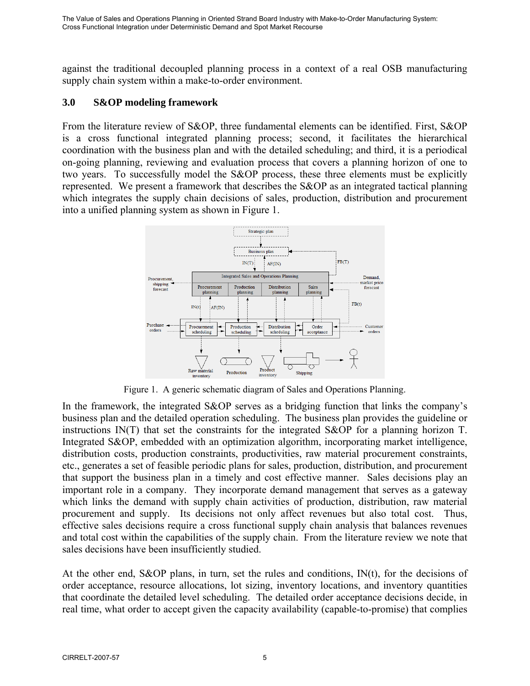against the traditional decoupled planning process in a context of a real OSB manufacturing supply chain system within a make-to-order environment.

## **3.0 S&OP modeling framework**

From the literature review of S&OP, three fundamental elements can be identified. First, S&OP is a cross functional integrated planning process; second, it facilitates the hierarchical coordination with the business plan and with the detailed scheduling; and third, it is a periodical on-going planning, reviewing and evaluation process that covers a planning horizon of one to two years. To successfully model the S&OP process, these three elements must be explicitly represented. We present a framework that describes the S&OP as an integrated tactical planning which integrates the supply chain decisions of sales, production, distribution and procurement into a unified planning system as shown in Figure 1.



Figure 1. A generic schematic diagram of Sales and Operations Planning.

In the framework, the integrated S&OP serves as a bridging function that links the company's business plan and the detailed operation scheduling. The business plan provides the guideline or instructions IN(T) that set the constraints for the integrated S&OP for a planning horizon T. Integrated S&OP, embedded with an optimization algorithm, incorporating market intelligence, distribution costs, production constraints, productivities, raw material procurement constraints, etc., generates a set of feasible periodic plans for sales, production, distribution, and procurement that support the business plan in a timely and cost effective manner. Sales decisions play an important role in a company. They incorporate demand management that serves as a gateway which links the demand with supply chain activities of production, distribution, raw material procurement and supply. Its decisions not only affect revenues but also total cost. Thus, effective sales decisions require a cross functional supply chain analysis that balances revenues and total cost within the capabilities of the supply chain. From the literature review we note that sales decisions have been insufficiently studied.

At the other end, S&OP plans, in turn, set the rules and conditions, IN(t), for the decisions of order acceptance, resource allocations, lot sizing, inventory locations, and inventory quantities that coordinate the detailed level scheduling. The detailed order acceptance decisions decide, in real time, what order to accept given the capacity availability (capable-to-promise) that complies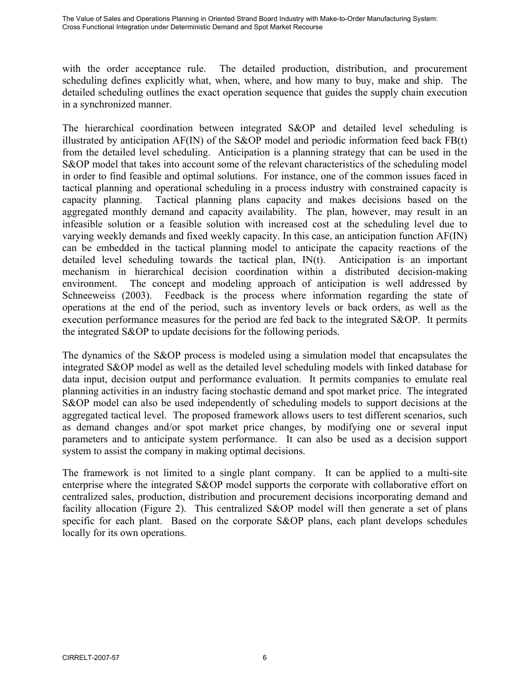with the order acceptance rule. The detailed production, distribution, and procurement scheduling defines explicitly what, when, where, and how many to buy, make and ship. The detailed scheduling outlines the exact operation sequence that guides the supply chain execution in a synchronized manner.

The hierarchical coordination between integrated S&OP and detailed level scheduling is illustrated by anticipation  $AF(IN)$  of the S&OP model and periodic information feed back  $FB(t)$ from the detailed level scheduling. Anticipation is a planning strategy that can be used in the S&OP model that takes into account some of the relevant characteristics of the scheduling model in order to find feasible and optimal solutions. For instance, one of the common issues faced in tactical planning and operational scheduling in a process industry with constrained capacity is capacity planning. Tactical planning plans capacity and makes decisions based on the aggregated monthly demand and capacity availability. The plan, however, may result in an infeasible solution or a feasible solution with increased cost at the scheduling level due to varying weekly demands and fixed weekly capacity. In this case, an anticipation function AF(IN) can be embedded in the tactical planning model to anticipate the capacity reactions of the detailed level scheduling towards the tactical plan, IN(t). Anticipation is an important mechanism in hierarchical decision coordination within a distributed decision-making environment. The concept and modeling approach of anticipation is well addressed by Schneeweiss (2003). Feedback is the process where information regarding the state of operations at the end of the period, such as inventory levels or back orders, as well as the execution performance measures for the period are fed back to the integrated S&OP. It permits the integrated S&OP to update decisions for the following periods.

The dynamics of the S&OP process is modeled using a simulation model that encapsulates the integrated S&OP model as well as the detailed level scheduling models with linked database for data input, decision output and performance evaluation. It permits companies to emulate real planning activities in an industry facing stochastic demand and spot market price. The integrated S&OP model can also be used independently of scheduling models to support decisions at the aggregated tactical level. The proposed framework allows users to test different scenarios, such as demand changes and/or spot market price changes, by modifying one or several input parameters and to anticipate system performance. It can also be used as a decision support system to assist the company in making optimal decisions.

The framework is not limited to a single plant company. It can be applied to a multi-site enterprise where the integrated S&OP model supports the corporate with collaborative effort on centralized sales, production, distribution and procurement decisions incorporating demand and facility allocation (Figure 2). This centralized S&OP model will then generate a set of plans specific for each plant. Based on the corporate S&OP plans, each plant develops schedules locally for its own operations.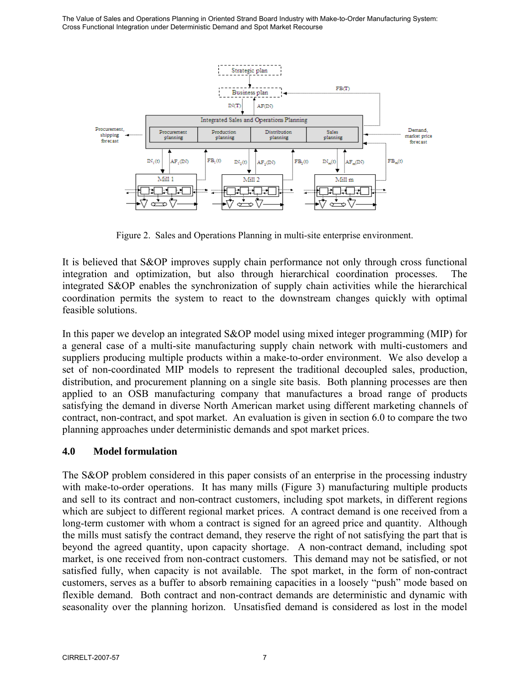

Figure 2. Sales and Operations Planning in multi-site enterprise environment.

It is believed that S&OP improves supply chain performance not only through cross functional integration and optimization, but also through hierarchical coordination processes. The integrated S&OP enables the synchronization of supply chain activities while the hierarchical coordination permits the system to react to the downstream changes quickly with optimal feasible solutions.

In this paper we develop an integrated S&OP model using mixed integer programming (MIP) for a general case of a multi-site manufacturing supply chain network with multi-customers and suppliers producing multiple products within a make-to-order environment. We also develop a set of non-coordinated MIP models to represent the traditional decoupled sales, production, distribution, and procurement planning on a single site basis. Both planning processes are then applied to an OSB manufacturing company that manufactures a broad range of products satisfying the demand in diverse North American market using different marketing channels of contract, non-contract, and spot market. An evaluation is given in section 6.0 to compare the two planning approaches under deterministic demands and spot market prices.

# **4.0 Model formulation**

The S&OP problem considered in this paper consists of an enterprise in the processing industry with make-to-order operations. It has many mills (Figure 3) manufacturing multiple products and sell to its contract and non-contract customers, including spot markets, in different regions which are subject to different regional market prices. A contract demand is one received from a long-term customer with whom a contract is signed for an agreed price and quantity. Although the mills must satisfy the contract demand, they reserve the right of not satisfying the part that is beyond the agreed quantity, upon capacity shortage. A non-contract demand, including spot market, is one received from non-contract customers. This demand may not be satisfied, or not satisfied fully, when capacity is not available. The spot market, in the form of non-contract customers, serves as a buffer to absorb remaining capacities in a loosely "push" mode based on flexible demand. Both contract and non-contract demands are deterministic and dynamic with seasonality over the planning horizon. Unsatisfied demand is considered as lost in the model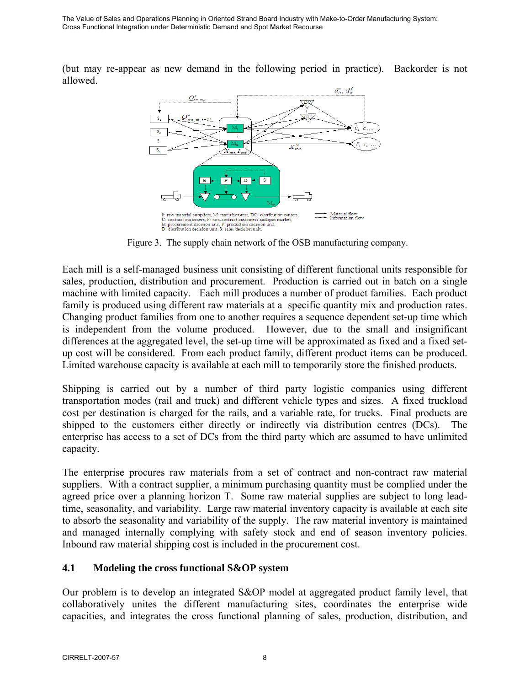(but may re-appear as new demand in the following period in practice). Backorder is not allowed.



Figure 3. The supply chain network of the OSB manufacturing company.

Each mill is a self-managed business unit consisting of different functional units responsible for sales, production, distribution and procurement. Production is carried out in batch on a single machine with limited capacity. Each mill produces a number of product families. Each product family is produced using different raw materials at a specific quantity mix and production rates. Changing product families from one to another requires a sequence dependent set-up time which is independent from the volume produced. However, due to the small and insignificant differences at the aggregated level, the set-up time will be approximated as fixed and a fixed setup cost will be considered. From each product family, different product items can be produced. Limited warehouse capacity is available at each mill to temporarily store the finished products.

Shipping is carried out by a number of third party logistic companies using different transportation modes (rail and truck) and different vehicle types and sizes. A fixed truckload cost per destination is charged for the rails, and a variable rate, for trucks. Final products are shipped to the customers either directly or indirectly via distribution centres (DCs). The enterprise has access to a set of DCs from the third party which are assumed to have unlimited capacity.

The enterprise procures raw materials from a set of contract and non-contract raw material suppliers. With a contract supplier, a minimum purchasing quantity must be complied under the agreed price over a planning horizon T. Some raw material supplies are subject to long leadtime, seasonality, and variability. Large raw material inventory capacity is available at each site to absorb the seasonality and variability of the supply. The raw material inventory is maintained and managed internally complying with safety stock and end of season inventory policies. Inbound raw material shipping cost is included in the procurement cost.

# **4.1 Modeling the cross functional S&OP system**

Our problem is to develop an integrated S&OP model at aggregated product family level, that collaboratively unites the different manufacturing sites, coordinates the enterprise wide capacities, and integrates the cross functional planning of sales, production, distribution, and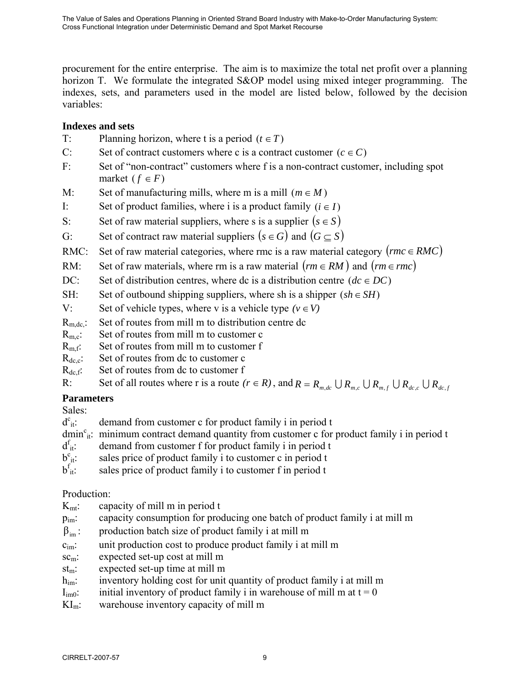procurement for the entire enterprise. The aim is to maximize the total net profit over a planning horizon T. We formulate the integrated S&OP model using mixed integer programming. The indexes, sets, and parameters used in the model are listed below, followed by the decision variables:

# **Indexes and sets**

- T: Planning horizon, where t is a period  $(t \in T)$
- C: Set of contract customers where c is a contract customer  $(c \in C)$
- F: Set of "non-contract" customers where f is a non-contract customer, including spot market  $(f \in F)$
- M: Set of manufacturing mills, where m is a mill  $(m \in M)$
- I: Set of product families, where i is a product family  $(i \in I)$
- S: Set of raw material suppliers, where s is a supplier  $(s \in S)$
- G: Set of contract raw material suppliers  $(s \in G)$  and  $(G \subseteq S)$
- RMC: Set of raw material categories, where rmc is a raw material category ( $rm \in RMC$ )
- RM: Set of raw materials, where rm is a raw material  $(rm \in RM)$  and  $(rm \in rmc)$
- DC: Set of distribution centres, where dc is a distribution centre  $(dc \in DC)$
- SH: Set of outbound shipping suppliers, where sh is a shipper  $(sh \in SH)$
- V: Set of vehicle types, where v is a vehicle type  $(v \in V)$
- $R_{\text{m dc}}$ : Set of routes from mill m to distribution centre dc
- $R_{\text{mc}}$ : Set of routes from mill m to customer c
- $R<sub>m.f</sub>$ : Set of routes from mill m to customer f
- $R_{\text{dec}}$ : Set of routes from dc to customer c
- $R_{def}$ : Set of routes from dc to customer f

R: Set of all routes where r is a route  $(r \in R)$ , and  $R = R_{m,dc} \cup R_{m,c} \cup R_{m,f} \cup R_{dc,c} \cup R_{dc,f}$ 

# **Parameters**

Sales:

 $d^c_{it}$ : demand from customer c for product family i in period t

- dmin<sup>c</sup><sub>it</sub>: minimum contract demand quantity from customer c for product family i in period t
- $d_{it}^t$ : demand from customer f for product family i in period t
- $b^c_{it}$ : sales price of product family i to customer c in period t
- $b_{it}^f$ : sales price of product family i to customer f in period t

# Production:

- $K<sub>mt</sub>:$  capacity of mill m in period t
- pim: capacity consumption for producing one batch of product family i at mill m
- $\beta_{im}$ : production batch size of product family i at mill m
- $c<sub>im</sub>$ : unit production cost to produce product family i at mill m
- sc<sub>m</sub>: expected set-up cost at mill m
- stm: expected set-up time at mill m
- h<sub>im</sub>: inventory holding cost for unit quantity of product family i at mill m
- $I_{\text{im0}}$ : initial inventory of product family i in warehouse of mill m at t = 0
- $KI_m$ : warehouse inventory capacity of mill m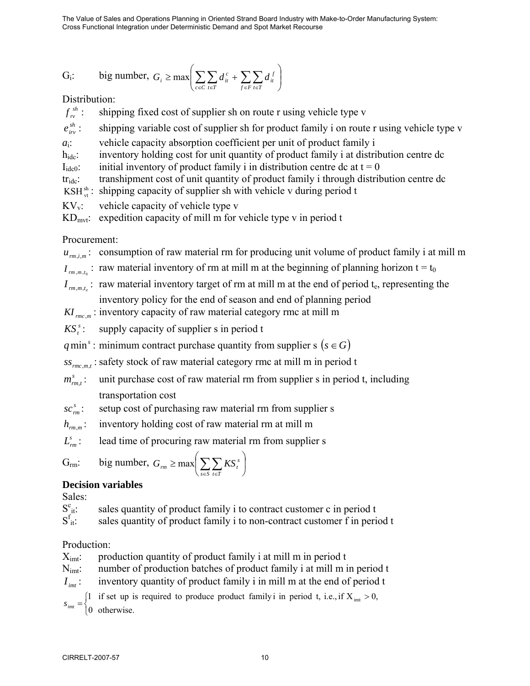$$
G_i: \t\t\t\t big number, G_i \ge max \left( \sum_{c \in C} \sum_{t \in T} d_{it}^c + \sum_{f \in F} \sum_{t \in T} d_{it}^f \right)
$$

Distribution:

 $f_{rv}^{sh}$ : shipping fixed cost of supplier sh on route r using vehicle type v

 $e_{\scriptscriptstyle inv}^{\scriptscriptstyle sh}$ : shipping variable cost of supplier sh for product family i on route r using vehicle type v

*a*<sub>i</sub>: vehicle capacity absorption coefficient per unit of product family i

h<sub>idc</sub>: inventory holding cost for unit quantity of product family i at distribution centre dc

 $I_{\text{ide0}}$ : initial inventory of product family i in distribution centre dc at  $t = 0$ 

tridc: transhipment cost of unit quantity of product family i through distribution centre dc

KSH $_{\alpha}^{\text{sh}}$ : shipping capacity of supplier sh with vehicle v during period t

 $KV_v$ : vehicle capacity of vehicle type v

 $KD_{\text{mvt}}$ : expedition capacity of mill m for vehicle type v in period t

Procurement:

 $u_{r_m}$ : consumption of raw material rm for producing unit volume of product family i at mill m

 $I_{m,m,t_0}$ : raw material inventory of rm at mill m at the beginning of planning horizon t = t<sub>0</sub>

 $I_{m,m,t_{e}}$ : raw material inventory target of rm at mill m at the end of period t<sub>e</sub>, representing the

inventory policy for the end of season and end of planning period

 $KI$ <sub>rmcm</sub>: inventory capacity of raw material category rmc at mill m

 $KS<sub>t</sub><sup>s</sup>$ : supply capacity of supplier s in period t

*q* min<sup>s</sup>: minimum contract purchase quantity from supplier s ( $s \in G$ )

 $s_{s_{rmc\,mt}}$ : safety stock of raw material category rmc at mill m in period t

 $m_{rmt}^s$ : unit purchase cost of raw material rm from supplier s in period t, including transportation cost

 $\mathcal{SC}_{rm}^{s}$ : setup cost of purchasing raw material rm from supplier s

 $h_{rmmm}$ : inventory holding cost of raw material rm at mill m

 $L_{\text{rms}}^s$ : lead time of procuring raw material rm from supplier s

$$
G_{\rm rm}: \qquad \text{big number, } G_{\rm rm} \ge \max \biggl( \sum_{s \in S} \sum_{t \in T} K S_t^s \biggr)
$$

# **Decision variables**

Sales:

 $S_{it}^c$ : sales quantity of product family i to contract customer c in period t

 $S_{\text{it}}^{\text{f}}$ : sales quantity of product family i to non-contract customer f in period t

# Production:

 $X_{\text{int}}$ : production quantity of product family i at mill m in period t

N<sub>imt</sub>: number of production batches of product family i at mill m in period t

 $I_{int}$ : inventory quantity of product family i in mill m at the end of period t

 $\overline{a}$  $S_{int} =\begin{cases}1 & \text{if set up is required to produce product family i in period t, i.e., if X}_{int} > 0,\\0 & \text{otherwise.}\end{cases}$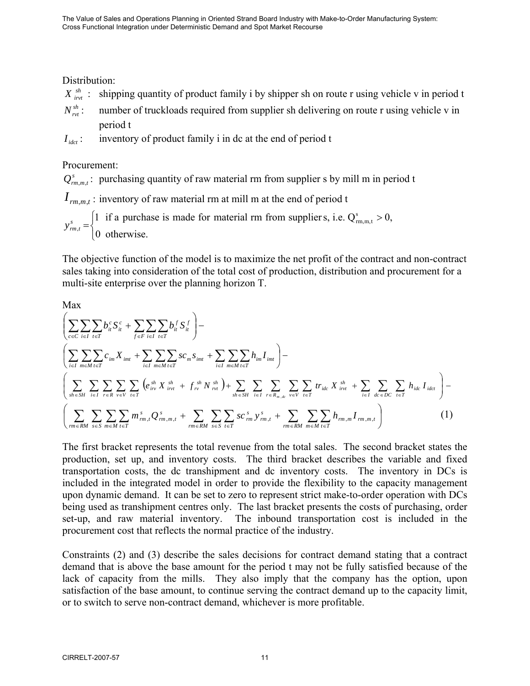Distribution:

- $X_{i,v}^{sh}$ : shipping quantity of product family i by shipper sh on route r using vehicle v in period t
- $N_{\text{rot}}^{sh}$ : number of truckloads required from supplier sh delivering on route r using vehicle v in period t
- $I_{\text{det}}$ : inventory of product family i in dc at the end of period t

# Procurement:

 $Q_{r_{m,m,t}}^s$ : purchasing quantity of raw material rm from supplier s by mill m in period t

 $I_{rm,m,n,t}$ : inventory of raw material rm at mill m at the end of period t

 $\overline{a}$ ⎨ =  $\begin{cases} 1 & \text{if a purchase is made for material rm from supplier s, i.e. } Q^s_{rm,m,t} > 0, \\ 0 & \text{otherwise.} \end{cases}$ , *s trm y*

The objective function of the model is to maximize the net profit of the contract and non-contract sales taking into consideration of the total cost of production, distribution and procurement for a multi-site enterprise over the planning horizon T.

Max

$$
\left(\sum_{c\in C}\sum_{i\in I}\sum_{t\in T} b_{ii}^{c} S_{ii}^{c} + \sum_{f\in F}\sum_{i\in I}\sum_{t\in T} b_{ii}^{f} S_{ii}^{f}\right) -
$$
\n
$$
\left(\sum_{i\in I}\sum_{m\in M}\sum_{t\in T} c_{im} X_{imt} + \sum_{i\in I}\sum_{m\in M}\sum_{t\in T} sc_{m} S_{imt} + \sum_{i\in I}\sum_{m\in M}\sum_{t\in T} h_{im} I_{imt}\right) -
$$
\n
$$
\left(\sum_{sh\in SH}\sum_{i\in I}\sum_{r\in R}\sum_{v\in V}\sum_{t\in T} \left(e_{iv}^{sh} X_{ivt}^{sh} + f_{rv}^{sh} N_{rvt}^{sh}\right) + \sum_{sh\in SH}\sum_{i\in I}\sum_{r\in R_{m,dc}}\sum_{v\in V}\sum_{t\in T} tr_{ide} X_{ivt}^{sh} + \sum_{i\in I}\sum_{de\in DC}\sum_{t\in T} h_{ide} I_{idct}\right) -
$$
\n
$$
\left(\sum_{rm\in RM}\sum_{s\in S}\sum_{m\in M}\sum_{t\in T} m_{rm,t}^{s} Q_{im,m,t}^{s} + \sum_{rm\in RM}\sum_{s\in S}\sum_{t\in T} sc_{rm}^{s} Y_{im,t}^{s} + \sum_{rm\in RM}\sum_{m\in RM}\sum_{t\in T} h_{rm,m} I_{rm,m,t}\right) \tag{1}
$$

The first bracket represents the total revenue from the total sales. The second bracket states the production, set up, and inventory costs. The third bracket describes the variable and fixed transportation costs, the dc transhipment and dc inventory costs. The inventory in DCs is included in the integrated model in order to provide the flexibility to the capacity management upon dynamic demand. It can be set to zero to represent strict make-to-order operation with DCs being used as transhipment centres only. The last bracket presents the costs of purchasing, order set-up, and raw material inventory. The inbound transportation cost is included in the procurement cost that reflects the normal practice of the industry.

Constraints (2) and (3) describe the sales decisions for contract demand stating that a contract demand that is above the base amount for the period t may not be fully satisfied because of the lack of capacity from the mills. They also imply that the company has the option, upon satisfaction of the base amount, to continue serving the contract demand up to the capacity limit, or to switch to serve non-contract demand, whichever is more profitable.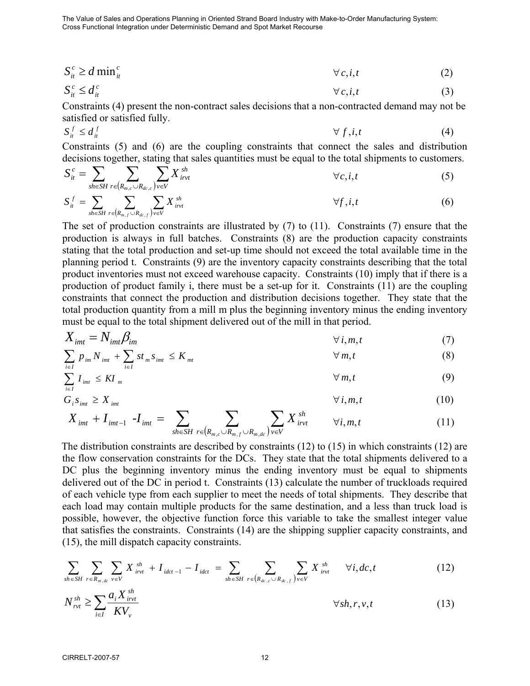$$
S_{it}^c \ge d \min_{it}^c \qquad \qquad \forall c, i, t \tag{2}
$$

$$
S_{it}^c \le d_{it}^c \qquad \qquad \forall c, i, t \tag{3}
$$

Constraints (4) present the non-contract sales decisions that a non-contracted demand may not be satisfied or satisfied fully.

$$
S_{it}^f \le d_{it}^f \qquad \qquad \forall f, i, t \qquad \qquad (4)
$$

Constraints (5) and (6) are the coupling constraints that connect the sales and distribution decisions together, stating that sales quantities must be equal to the total shipments to customers.

$$
S_{it}^{c} = \sum_{sh \in SH} \sum_{r \in (R_{m,c} \cup R_{dc,c})} \sum_{v \in V} X_{irvt}^{sh} \qquad \forall c, i, t
$$
 (5)

$$
S_{it}^f = \sum_{sh \in SH} \sum_{r \in (R_{m,f} \cup R_{dc,f})} \sum_{v \in V} X_{ivrt}^{sh} \qquad \forall f, i, t
$$
 (6)

The set of production constraints are illustrated by (7) to (11). Constraints (7) ensure that the production is always in full batches. Constraints (8) are the production capacity constraints stating that the total production and set-up time should not exceed the total available time in the planning period t. Constraints (9) are the inventory capacity constraints describing that the total product inventories must not exceed warehouse capacity. Constraints (10) imply that if there is a production of product family i, there must be a set-up for it. Constraints (11) are the coupling constraints that connect the production and distribution decisions together. They state that the total production quantity from a mill m plus the beginning inventory minus the ending inventory must be equal to the total shipment delivered out of the mill in that period.

$$
X_{imt} = N_{imt} \beta_{im} \qquad \qquad \forall i, m, t \tag{7}
$$

$$
\sum_{i\in I} p_{im} N_{imt} + \sum_{i\in I} st_m s_{imt} \leq K_{mt} \qquad \qquad \forall m, t \qquad (8)
$$

$$
\sum_{i\in I} I_{imt} \leq K I_m \tag{9}
$$

$$
G_i S_{imt} \geq X_{imt} \qquad \qquad \forall i, m, t \qquad (10)
$$

$$
X_{imt} + I_{imt-1} - I_{imt} = \sum_{sh \in SH} \sum_{r \in (R_{m,c} \cup R_{m,f} \cup R_{m,dc})} \sum_{v \in V} X_{irvt}^{sh} \qquad \forall i, m, t
$$
 (11)

The distribution constraints are described by constraints (12) to (15) in which constraints (12) are the flow conservation constraints for the DCs. They state that the total shipments delivered to a DC plus the beginning inventory minus the ending inventory must be equal to shipments delivered out of the DC in period t. Constraints (13) calculate the number of truckloads required of each vehicle type from each supplier to meet the needs of total shipments. They describe that each load may contain multiple products for the same destination, and a less than truck load is possible, however, the objective function force this variable to take the smallest integer value that satisfies the constraints. Constraints (14) are the shipping supplier capacity constraints, and (15), the mill dispatch capacity constraints.

$$
\sum_{sh \in SH} \sum_{r \in R_{m,dc}} \sum_{v \in V} X_{irvt}^{sh} + I_{idct-1} - I_{idct} = \sum_{sh \in SH} \sum_{r \in (R_{dc,c} \cup R_{dc,f})} \sum_{v \in V} X_{irvt}^{sh} \quad \forall i, dc, t
$$
\n(12)

$$
N_{\text{rvt}}^{\text{sh}} \ge \sum_{i \in I} \frac{a_i X_{\text{invt}}^{\text{sh}}}{K V_{\text{v}}} \qquad \qquad \forall \text{sh}, r, \text{v}, t \tag{13}
$$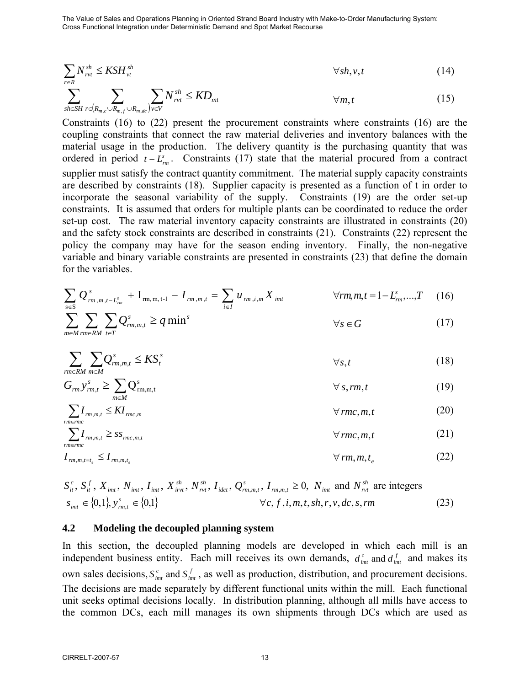$$
\sum_{r \in R} N_{rvt}^{sh} \le KSH_{vt}^{sh} \qquad \qquad \forall sh, v, t \tag{14}
$$

$$
\sum_{sh\in SH} \sum_{r\in(R_{m,c}\cup R_{m,dc})} \sum_{v\in V} N_{rvt}^{sh} \leq KD_{mt} \qquad \qquad \forall m,t \tag{15}
$$

Constraints (16) to (22) present the procurement constraints where constraints (16) are the coupling constraints that connect the raw material deliveries and inventory balances with the material usage in the production. The delivery quantity is the purchasing quantity that was ordered in period  $t - L_m^s$ . Constraints (17) state that the material procured from a contract supplier must satisfy the contract quantity commitment. The material supply capacity constraints are described by constraints (18). Supplier capacity is presented as a function of t in order to incorporate the seasonal variability of the supply. Constraints (19) are the order set-up constraints. It is assumed that orders for multiple plants can be coordinated to reduce the order set-up cost. The raw material inventory capacity constraints are illustrated in constraints (20) and the safety stock constraints are described in constraints (21). Constraints (22) represent the policy the company may have for the season ending inventory. Finally, the non-negative variable and binary variable constraints are presented in constraints (23) that define the domain for the variables.

$$
\sum_{s \in S} Q_{rm,m,m,t-L_m^s}^s + I_{rm,m,m,t-l} - I_{rm,m,n,t} = \sum_{i \in I} u_{rm,i,m} X_{imt} \qquad \forall rm,m,t = 1 - L_{rm}^s, ..., T \quad (16)
$$

$$
\sum_{m \in M} \sum_{rm \in R} \sum_{t \in T} Q_{rm,m,t}^{s} \ge q \min^{s} \qquad \forall s \in G \tag{17}
$$

$$
\sum_{r \equiv \text{R}M} \sum_{m \in M} Q_{rm,m,t}^s \le KS_t^s \qquad \qquad \forall s, t \tag{18}
$$

$$
G_{rm} y_{rm}^s \ge \sum_{m \in M} Q_{rm,m,t}^s \qquad \qquad \forall s, rm, t \qquad (19)
$$

$$
\sum_{r m \in r m c} I_{r m, m, t} \le K I_{r m c, m} \qquad \qquad \forall \, r m c, m, t \tag{20}
$$

$$
\sum_{r m \in r m c} I_{r m, m, t} \geq s s_{r m c, m, t} \qquad \qquad \forall \, r m c, m, t \tag{21}
$$

$$
I_{m,m,t=t_e} \le I_{m,m,t_e}
$$
 (22)

$$
S_{it}^{c}, S_{it}^{f}, X_{imt}, N_{imt}, I_{imt}, X_{ivt}^{sh}, N_{vvt}^{sh}, I_{idct}, Q_{rm,m,t}^{s}, I_{rm,m,t} \ge 0, N_{imt} \text{ and } N_{vvt}^{sh} \text{ are integers}
$$
  
\n
$$
s_{imt} \in \{0,1\}, y_{rm,t}^{s} \in \{0,1\}
$$
\n
$$
\forall c, f, i, m, t, sh, r, v, dc, s, rm
$$
\n(23)

#### **4.2 Modeling the decoupled planning system**

In this section, the decoupled planning models are developed in which each mill is an independent business entity. Each mill receives its own demands,  $d_{imt}^c$  and  $d_{imt}^f$  and makes its own sales decisions,  $S_{im}^c$  and  $S_{im}^f$ , as well as production, distribution, and procurement decisions. The decisions are made separately by different functional units within the mill. Each functional unit seeks optimal decisions locally. In distribution planning, although all mills have access to the common DCs, each mill manages its own shipments through DCs which are used as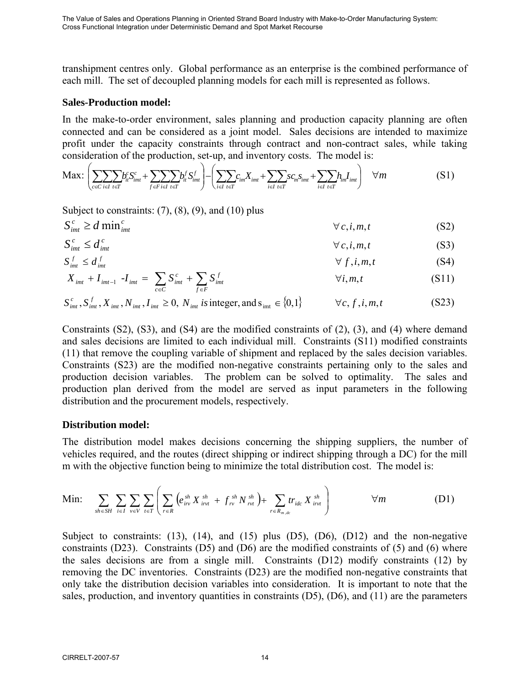transhipment centres only. Global performance as an enterprise is the combined performance of each mill. The set of decoupled planning models for each mill is represented as follows.

#### **Sales-Production model:**

In the make-to-order environment, sales planning and production capacity planning are often connected and can be considered as a joint model. Sales decisions are intended to maximize profit under the capacity constraints through contract and non-contract sales, while taking consideration of the production, set-up, and inventory costs. The model is:

$$
\text{Max:} \left( \sum_{c \in C} \sum_{i \in I} \sum_{t \in T} b_{it}^c S_{imt}^c + \sum_{f \in F} \sum_{i \in I} \sum_{t \in T} b_{it}^f S_{imt}^f \right) - \left( \sum_{i \in I} \sum_{t \in T} c_{im} X_{imt} + \sum_{i \in I} \sum_{t \in T} s c_m S_{imt} + \sum_{i \in I} \sum_{t \in T} h_{im} I_{imt} \right) \quad \forall m
$$
\n
$$
(S1)
$$

Subject to constraints:  $(7)$ ,  $(8)$ ,  $(9)$ , and  $(10)$  plus

$$
S_{im}^{c} \ge d \min_{imt}^{c}
$$
 (S2)

$$
S_{imt}^c \le d_{imt}^c \qquad \qquad \forall c, i, m, t \qquad (S3)
$$

$$
S_{imt}^f \le d_{imt}^f \qquad (S4)
$$

$$
X_{imt} + I_{imt-1} - I_{imt} = \sum_{c \in C} S_{imt}^{c} + \sum_{f \in F} S_{imt}^{f}
$$
  $\forall i, m, t$  (S11)

$$
S_{imt}^{c}, S_{imt}^{f}, X_{imt}, N_{imt}, I_{imt} \ge 0, N_{imt} \text{ is integer, and } s_{imt} \in \{0, 1\} \qquad \forall c, f, i, m, t \qquad (S23)
$$

Constraints (S2), (S3), and (S4) are the modified constraints of (2), (3), and (4) where demand and sales decisions are limited to each individual mill. Constraints (S11) modified constraints (11) that remove the coupling variable of shipment and replaced by the sales decision variables. Constraints (S23) are the modified non-negative constraints pertaining only to the sales and production decision variables. The problem can be solved to optimality. The sales and production plan derived from the model are served as input parameters in the following distribution and the procurement models, respectively.

#### **Distribution model:**

The distribution model makes decisions concerning the shipping suppliers, the number of vehicles required, and the routes (direct shipping or indirect shipping through a DC) for the mill m with the objective function being to minimize the total distribution cost. The model is:

Min: 
$$
\sum_{sh \in SH} \sum_{i \in I} \sum_{v \in V} \sum_{t \in T} \left( \sum_{r \in R} \left( e_{ivr}^{sh} X_{ivr}^{sh} + f_{rv}^{sh} N_{rvt}^{sh} \right) + \sum_{r \in R_{m,dc}} tr_{ide} X_{ivr}^{sh} \right) \qquad \forall m
$$
 (D1)

Subject to constraints:  $(13)$ ,  $(14)$ , and  $(15)$  plus  $(D5)$ ,  $(D6)$ ,  $(D12)$  and the non-negative constraints (D23). Constraints (D5) and (D6) are the modified constraints of (5) and (6) where the sales decisions are from a single mill. Constraints (D12) modify constraints (12) by removing the DC inventories. Constraints (D23) are the modified non-negative constraints that only take the distribution decision variables into consideration. It is important to note that the sales, production, and inventory quantities in constraints  $(D5)$ ,  $(D6)$ , and  $(11)$  are the parameters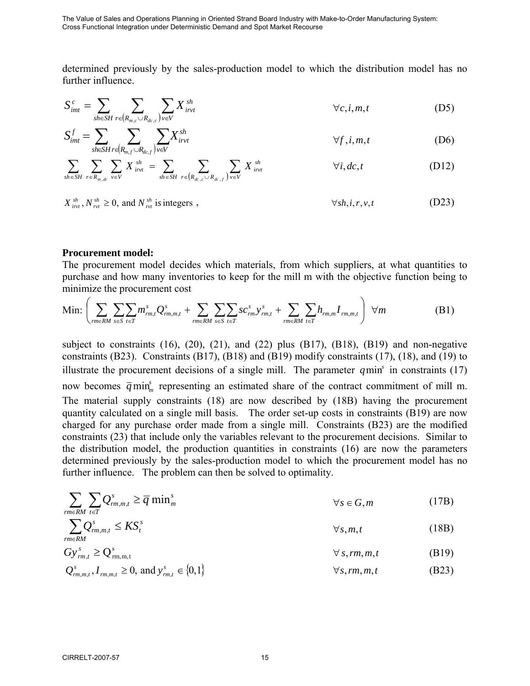determined previously by the sales-production model to which the distribution model has no further influence.

$$
S_{imt}^{c} = \sum_{sh \in SH} \sum_{r \in (R_{m,c} \cup R_{dc,c})} \sum_{v \in V} X_{irvt}^{sh} \qquad \forall c, i, m, t \qquad (D5)
$$

$$
S_{imt}^f = \sum_{\text{sh} \in \text{SH}} \sum_{r \in (R_{m,f} \cup R_{dc,f})} \sum_{v \in V} X_{irvt}^{sh} \qquad \forall f, i, m, t \tag{D6}
$$

$$
\sum_{sh\in SH}\sum_{r\in R_{m,dc}}\sum_{v\in V}X_{ivvt}^{sh}=\sum_{sh\in SH}\sum_{r\in (R_{dc,c}\cup R_{dc,f})}\sum_{v\in V}X_{ivvt}^{sh}\qquad\qquad\forall i,dc,t\qquad\qquad\qquad\text{(D12)}
$$

 $X_{irr}^{sh}$ ,  $N_{rrt}^{sh} \ge 0$ , and  $N_{rrt}^{sh}$  is integers,

#### **Procurement model:**

The procurement model decides which materials, from which suppliers, at what quantities to purchase and how many inventories to keep for the mill m with the objective function being to minimize the procurement cost

$$
\text{Min:} \left( \sum_{rm \in RM} \sum_{s \in S} \sum_{t \in T} m_{rm,t}^s Q_{rm,m,t}^s + \sum_{rm \in RM} \sum_{s \in S} \sum_{t \in T} sc_{rm}^s y_{rm,t}^s + \sum_{rm \in RM} \sum_{t \in T} h_{rm,m} I_{rm,m,t} \right) \ \forall m
$$
 (B1)

subject to constraints  $(16)$ ,  $(20)$ ,  $(21)$ , and  $(22)$  plus  $(B17)$ ,  $(B18)$ ,  $(B19)$  and non-negative constraints (B23). Constraints (B17), (B18) and (B19) modify constraints (17), (18), and (19) to illustrate the procurement decisions of a single mill. The parameter  $q$ min<sup> $\delta$ </sup> in constraints (17) now becomes  $\bar{q}$  min<sup>s</sup> representing an estimated share of the contract commitment of mill m. The material supply constraints (18) are now described by (18B) having the procurement quantity calculated on a single mill basis. The order set-up costs in constraints (B19) are now charged for any purchase order made from a single mill. Constraints (B23) are the modified constraints (23) that include only the variables relevant to the procurement decisions. Similar to the distribution model, the production quantities in constraints (16) are now the parameters determined previously by the sales-production model to which the procurement model has no further influence. The problem can then be solved to optimality.

$$
\sum_{r \equiv \text{RMI}} \sum_{t \in T} Q^s_{rm,m,t} \ge \overline{q} \min^s_m \qquad \forall s \in G, m \qquad (17B)
$$

$$
\sum_{r \equiv RM} Q^s_{rm,m,t} \le KS^s_t \qquad \qquad \forall s, m, t \tag{18B}
$$

$$
Gy_{rm,m,t}^{s} \ge Q_{rm,m,m,t}^{s} \qquad \forall s, rm, m, t
$$
\n(B19)\n
$$
Q_{rm,m,t}^{s}, I_{rm,m,t} \ge 0, \text{ and } y_{rm,t}^{s} \in \{0,1\}
$$
\n
$$
\forall s, rm, m, t
$$
\n(B23)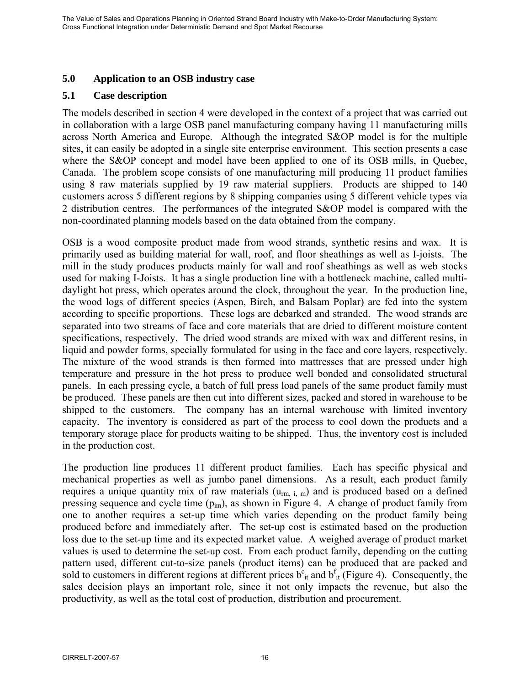### **5.0 Application to an OSB industry case**

### **5.1 Case description**

The models described in section 4 were developed in the context of a project that was carried out in collaboration with a large OSB panel manufacturing company having 11 manufacturing mills across North America and Europe. Although the integrated S&OP model is for the multiple sites, it can easily be adopted in a single site enterprise environment. This section presents a case where the S&OP concept and model have been applied to one of its OSB mills, in Quebec, Canada. The problem scope consists of one manufacturing mill producing 11 product families using 8 raw materials supplied by 19 raw material suppliers. Products are shipped to 140 customers across 5 different regions by 8 shipping companies using 5 different vehicle types via 2 distribution centres. The performances of the integrated S&OP model is compared with the non-coordinated planning models based on the data obtained from the company.

OSB is a wood composite product made from wood strands, synthetic resins and wax. It is primarily used as building material for wall, roof, and floor sheathings as well as I-joists. The mill in the study produces products mainly for wall and roof sheathings as well as web stocks used for making I-Joists. It has a single production line with a bottleneck machine, called multidaylight hot press, which operates around the clock, throughout the year. In the production line, the wood logs of different species (Aspen, Birch, and Balsam Poplar) are fed into the system according to specific proportions. These logs are debarked and stranded. The wood strands are separated into two streams of face and core materials that are dried to different moisture content specifications, respectively. The dried wood strands are mixed with wax and different resins, in liquid and powder forms, specially formulated for using in the face and core layers, respectively. The mixture of the wood strands is then formed into mattresses that are pressed under high temperature and pressure in the hot press to produce well bonded and consolidated structural panels. In each pressing cycle, a batch of full press load panels of the same product family must be produced. These panels are then cut into different sizes, packed and stored in warehouse to be shipped to the customers. The company has an internal warehouse with limited inventory capacity. The inventory is considered as part of the process to cool down the products and a temporary storage place for products waiting to be shipped. Thus, the inventory cost is included in the production cost.

The production line produces 11 different product families. Each has specific physical and mechanical properties as well as jumbo panel dimensions. As a result, each product family requires a unique quantity mix of raw materials  $(u_{rm in,i,m})$  and is produced based on a defined pressing sequence and cycle time  $(p_{im})$ , as shown in Figure 4. A change of product family from one to another requires a set-up time which varies depending on the product family being produced before and immediately after. The set-up cost is estimated based on the production loss due to the set-up time and its expected market value. A weighed average of product market values is used to determine the set-up cost. From each product family, depending on the cutting pattern used, different cut-to-size panels (product items) can be produced that are packed and sold to customers in different regions at different prices  $b<sup>c</sup>$ <sub>it</sub> and  $b<sup>f</sup>$ <sub>it</sub> (Figure 4). Consequently, the sales decision plays an important role, since it not only impacts the revenue, but also the productivity, as well as the total cost of production, distribution and procurement.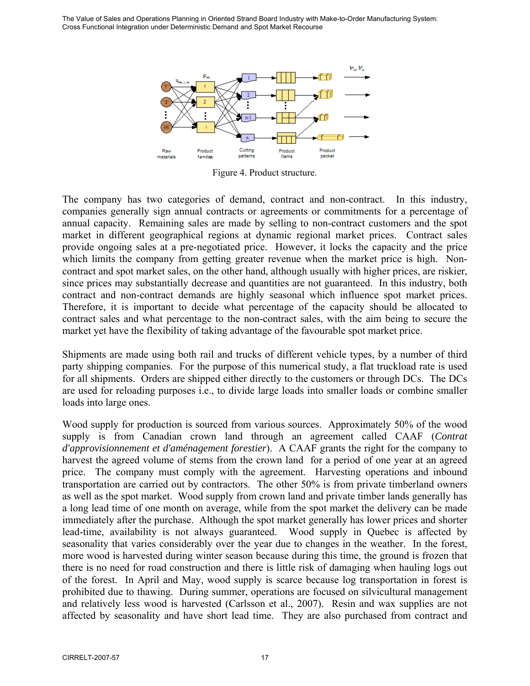

Figure 4. Product structure.

The company has two categories of demand, contract and non-contract. In this industry, companies generally sign annual contracts or agreements or commitments for a percentage of annual capacity. Remaining sales are made by selling to non-contract customers and the spot market in different geographical regions at dynamic regional market prices. Contract sales provide ongoing sales at a pre-negotiated price. However, it locks the capacity and the price which limits the company from getting greater revenue when the market price is high. Noncontract and spot market sales, on the other hand, although usually with higher prices, are riskier, since prices may substantially decrease and quantities are not guaranteed. In this industry, both contract and non-contract demands are highly seasonal which influence spot market prices. Therefore, it is important to decide what percentage of the capacity should be allocated to contract sales and what percentage to the non-contract sales, with the aim being to secure the market yet have the flexibility of taking advantage of the favourable spot market price.

Shipments are made using both rail and trucks of different vehicle types, by a number of third party shipping companies. For the purpose of this numerical study, a flat truckload rate is used for all shipments. Orders are shipped either directly to the customers or through DCs. The DCs are used for reloading purposes i.e., to divide large loads into smaller loads or combine smaller loads into large ones.

Wood supply for production is sourced from various sources. Approximately 50% of the wood supply is from Canadian crown land through an agreement called CAAF (*Contrat d'approvisionnement et d'aménagement forestier*). A CAAF grants the right for the company to harvest the agreed volume of stems from the crown land for a period of one year at an agreed price. The company must comply with the agreement. Harvesting operations and inbound transportation are carried out by contractors. The other 50% is from private timberland owners as well as the spot market. Wood supply from crown land and private timber lands generally has a long lead time of one month on average, while from the spot market the delivery can be made immediately after the purchase. Although the spot market generally has lower prices and shorter lead-time, availability is not always guaranteed. Wood supply in Quebec is affected by seasonality that varies considerably over the year due to changes in the weather. In the forest, more wood is harvested during winter season because during this time, the ground is frozen that there is no need for road construction and there is little risk of damaging when hauling logs out of the forest. In April and May, wood supply is scarce because log transportation in forest is prohibited due to thawing. During summer, operations are focused on silvicultural management and relatively less wood is harvested (Carlsson et al., 2007). Resin and wax supplies are not affected by seasonality and have short lead time. They are also purchased from contract and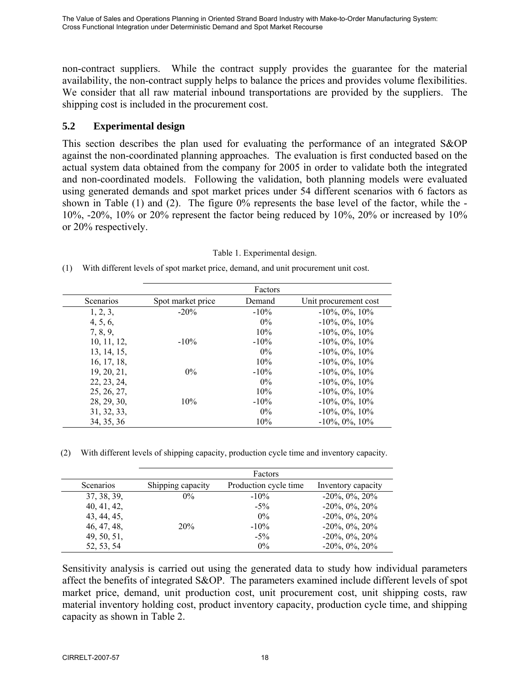non-contract suppliers. While the contract supply provides the guarantee for the material availability, the non-contract supply helps to balance the prices and provides volume flexibilities. We consider that all raw material inbound transportations are provided by the suppliers. The shipping cost is included in the procurement cost.

# **5.2 Experimental design**

This section describes the plan used for evaluating the performance of an integrated S&OP against the non-coordinated planning approaches. The evaluation is first conducted based on the actual system data obtained from the company for 2005 in order to validate both the integrated and non-coordinated models. Following the validation, both planning models were evaluated using generated demands and spot market prices under 54 different scenarios with 6 factors as shown in Table (1) and (2). The figure 0% represents the base level of the factor, while the -  $10\%$ ,  $-20\%$ ,  $10\%$  or  $20\%$  represent the factor being reduced by  $10\%$ ,  $20\%$  or increased by  $10\%$ or 20% respectively.

|             |                   | Factors |                       |
|-------------|-------------------|---------|-----------------------|
| Scenarios   | Spot market price | Demand  | Unit procurement cost |
| 1, 2, 3,    | $-20\%$           | $-10\%$ | $-10\%$ , 0%, 10%     |
| 4, 5, 6,    |                   | $0\%$   | $-10\%$ , 0%, 10%     |
| 7, 8, 9,    |                   | 10%     | $-10\%$ , 0%, 10%     |
| 10, 11, 12, | $-10\%$           | $-10\%$ | $-10\%$ , 0%, 10%     |
| 13, 14, 15, |                   | $0\%$   | $-10\%$ , 0%, 10%     |
| 16, 17, 18, |                   | 10%     | $-10\%$ , 0%, 10%     |
| 19, 20, 21, | $0\%$             | $-10\%$ | $-10\%, 0\%, 10\%$    |
| 22, 23, 24, |                   | $0\%$   | $-10\%$ , 0%, 10%     |
| 25, 26, 27, |                   | 10%     | $-10\%$ , 0%, 10%     |
| 28, 29, 30, | 10%               | $-10\%$ | $-10\%$ , 0%, 10%     |
| 31, 32, 33, |                   | $0\%$   | $-10\%$ , 0%, 10%     |
| 34, 35, 36  |                   | 10%     | $-10\%$ , 0%, 10%     |

(1) With different levels of spot market price, demand, and unit procurement unit cost.

Table 1. Experimental design.

(2) With different levels of shipping capacity, production cycle time and inventory capacity.

|             |                   | Factors               |                          |
|-------------|-------------------|-----------------------|--------------------------|
| Scenarios   | Shipping capacity | Production cycle time | Inventory capacity       |
| 37, 38, 39, | $0\%$             | $-10\%$               | $-20\%$ , $0\%$ , $20\%$ |
| 40, 41, 42, |                   | $-5\%$                | $-20\%$ , $0\%$ , $20\%$ |
| 43, 44, 45, |                   | $0\%$                 | $-20\%$ , $0\%$ , $20\%$ |
| 46, 47, 48, | 20%               | $-10\%$               | $-20\%$ , $0\%$ , $20\%$ |
| 49, 50, 51, |                   | $-5\%$                | $-20\%$ , $0\%$ , $20\%$ |
| 52, 53, 54  |                   | 0%                    | $-20\%$ , $0\%$ , $20\%$ |

Sensitivity analysis is carried out using the generated data to study how individual parameters affect the benefits of integrated S&OP. The parameters examined include different levels of spot market price, demand, unit production cost, unit procurement cost, unit shipping costs, raw material inventory holding cost, product inventory capacity, production cycle time, and shipping capacity as shown in Table 2.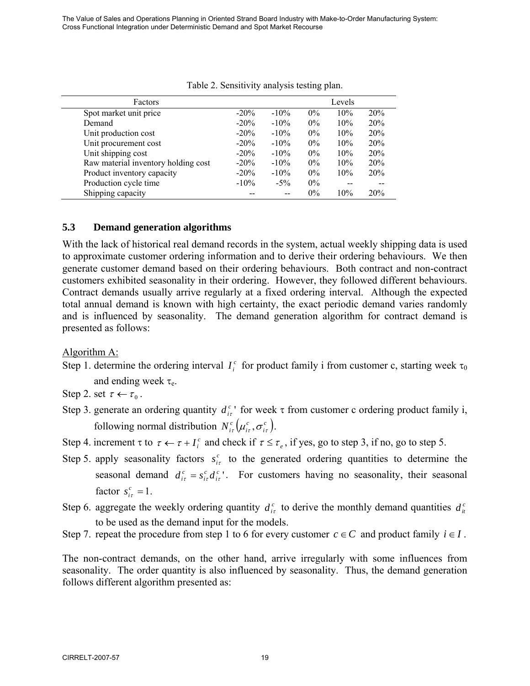| Factors                             |         | Levels  |       |     |     |  |  |
|-------------------------------------|---------|---------|-------|-----|-----|--|--|
| Spot market unit price              | $-20\%$ | $-10\%$ | $0\%$ | 10% | 20% |  |  |
| Demand                              | $-20\%$ | $-10\%$ | $0\%$ | 10% | 20% |  |  |
| Unit production cost                | $-20%$  | $-10\%$ | $0\%$ | 10% | 20% |  |  |
| Unit procurement cost               | $-20%$  | $-10\%$ | $0\%$ | 10% | 20% |  |  |
| Unit shipping cost                  | $-20\%$ | $-10\%$ | $0\%$ | 10% | 20% |  |  |
| Raw material inventory holding cost | $-20%$  | $-10\%$ | $0\%$ | 10% | 20% |  |  |
| Product inventory capacity          | $-20\%$ | $-10%$  | $0\%$ | 10% | 20% |  |  |
| Production cycle time               | $-10\%$ | $-5\%$  | $0\%$ |     |     |  |  |
| Shipping capacity                   |         | $-$     | $0\%$ | 10% | 20% |  |  |

#### Table 2. Sensitivity analysis testing plan.

### **5.3 Demand generation algorithms**

With the lack of historical real demand records in the system, actual weekly shipping data is used to approximate customer ordering information and to derive their ordering behaviours. We then generate customer demand based on their ordering behaviours. Both contract and non-contract customers exhibited seasonality in their ordering. However, they followed different behaviours. Contract demands usually arrive regularly at a fixed ordering interval. Although the expected total annual demand is known with high certainty, the exact periodic demand varies randomly and is influenced by seasonality. The demand generation algorithm for contract demand is presented as follows:

Algorithm A:

- Step 1. determine the ordering interval  $I_i^c$  for product family i from customer c, starting week  $\tau_0$ and ending week  $\tau_e$ .
- Step 2. set  $\tau \leftarrow \tau_0$ .
- Step 3. generate an ordering quantity  $d_{ir}^{c}$  for week  $\tau$  from customer c ordering product family i, following normal distribution  $N_{i\tau}^c \left( \mu_{i\tau}^c, \sigma_{i\tau}^c \right)$ *c*  $N^c_{i\tau}\left(\mu^c_{i\tau},\sigma^c_{i\tau}\right)$ .
- Step 4. increment  $\tau$  to  $\tau \leftarrow \tau + I_i^c$  and check if  $\tau \leq \tau_e$ , if yes, go to step 3, if no, go to step 5.
- Step 5. apply seasonality factors  $s_{ir}^c$  to the generated ordering quantities to determine the seasonal demand  $d_{i\tau}^c = s_{i\tau}^c d_{i\tau}^c$ *c i*  $d_{i\tau}^c = s_{i\tau}^c d_{i\tau}^c$ . For customers having no seasonality, their seasonal factor  $s_{i\tau}^c = 1$ .
- Step 6. aggregate the weekly ordering quantity  $d_{it}^c$  to derive the monthly demand quantities  $d_{it}^c$ to be used as the demand input for the models.
- Step 7. repeat the procedure from step 1 to 6 for every customer  $c \in C$  and product family  $i \in I$ .

The non-contract demands, on the other hand, arrive irregularly with some influences from seasonality. The order quantity is also influenced by seasonality. Thus, the demand generation follows different algorithm presented as: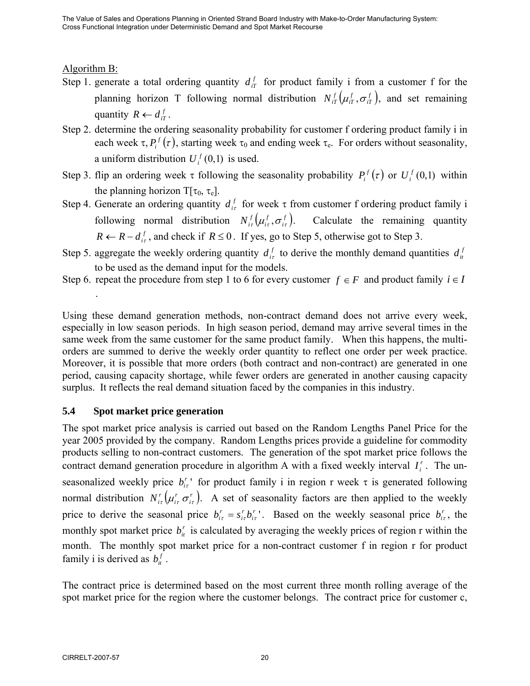# Algorithm B:

.

- Step 1. generate a total ordering quantity  $d_{iT}^f$  for product family i from a customer f for the planning horizon T following normal distribution  $N_{iT}^f(\mu_i^f, \sigma_{iT}^f)$ *f*  $N_{iT}^f(\mu_{iT}^f, \sigma_{iT}^f)$ , and set remaining quantity  $R \leftarrow d_{iT}^f$ .
- Step 2. determine the ordering seasonality probability for customer f ordering product family i in each week  $\tau$ ,  $P_i^f(\tau)$ , starting week  $\tau_0$  and ending week  $\tau_e$ . For orders without seasonality, a uniform distribution  $U_i^f(0,1)$  is used.
- Step 3. flip an ordering week τ following the seasonality probability  $P_i^f(\tau)$  or  $U_i^f(0,1)$  within the planning horizon  $T[\tau_0, \tau_e]$ .
- Step 4. Generate an ordering quantity  $d_{i\tau}^{f}$  for week  $\tau$  from customer f ordering product family i following normal distribution  $N_{ir}^f(u_i^f, \sigma_{ir}^f)$ *f*  $N_{i\tau}^f(u_i^f, \sigma_{i\tau}^f)$ . Calculate the remaining quantity *R* ← *R* −  $d_{ir}^f$ , and check if *R* ≤ 0. If yes, go to Step 5, otherwise got to Step 3.
- Step 5. aggregate the weekly ordering quantity  $d_i^f$  to derive the monthly demand quantities  $d_i^f$ to be used as the demand input for the models.
- Step 6. repeat the procedure from step 1 to 6 for every customer  $f \in F$  and product family  $i \in I$

Using these demand generation methods, non-contract demand does not arrive every week, especially in low season periods. In high season period, demand may arrive several times in the same week from the same customer for the same product family. When this happens, the multiorders are summed to derive the weekly order quantity to reflect one order per week practice. Moreover, it is possible that more orders (both contract and non-contract) are generated in one period, causing capacity shortage, while fewer orders are generated in another causing capacity surplus. It reflects the real demand situation faced by the companies in this industry.

# **5.4 Spot market price generation**

The spot market price analysis is carried out based on the Random Lengths Panel Price for the year 2005 provided by the company. Random Lengths prices provide a guideline for commodity products selling to non-contract customers. The generation of the spot market price follows the contract demand generation procedure in algorithm A with a fixed weekly interval  $I_i^r$ . The unseasonalized weekly price  $b_{i\tau}^{r}$  for product family i in region r week  $\tau$  is generated following normal distribution  $N_{i\tau}^r \left( \mu_{i\tau}^r \sigma_{i\tau}^r \right)$ *r*  $N_{i\tau}^r(\mu_{i\tau}^r \sigma_{i\tau}^r)$ . A set of seasonality factors are then applied to the weekly price to derive the seasonal price  $b_{i\tau}^r = s_{i\tau}^r b_{i\tau}^r$ *r i*  $b_{i\tau}^r = s_{i\tau}^r b_{i\tau}^r$ . Based on the weekly seasonal price  $b_{i\tau}^r$ , the monthly spot market price  $b_i^r$  is calculated by averaging the weekly prices of region r within the month. The monthly spot market price for a non-contract customer f in region r for product family i is derived as  $b_{it}^f$ .

The contract price is determined based on the most current three month rolling average of the spot market price for the region where the customer belongs. The contract price for customer c,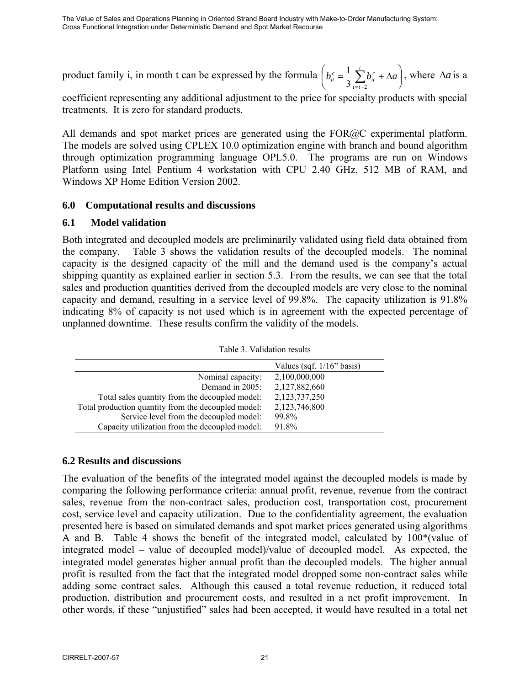product family i, in month t can be expressed by the formula  $|b_{it}^c = \frac{1}{2} \sum b_{it}^r + \Delta a|$ ⎠  $\left(b_{it}^c = \frac{1}{2} \sum_{i}^{t} b_{it}^r + \Delta a\right)$  $\left(b_{it}^c = \frac{1}{3} \sum_{t=t-2}^t b_{it}^r + \Delta a\right)$  $t = t$  $\sum_{it}^{c} = \frac{1}{3} \sum_{t=t-2}^{r} b_{it}^{r}$  $\frac{1}{2} \sum_{i=1}^{t} b_{i}^{r} + \Delta a$ , where  $\Delta a$  is a

coefficient representing any additional adjustment to the price for specialty products with special treatments. It is zero for standard products.

All demands and spot market prices are generated using the FOR@C experimental platform. The models are solved using CPLEX 10.0 optimization engine with branch and bound algorithm through optimization programming language OPL5.0. The programs are run on Windows Platform using Intel Pentium 4 workstation with CPU 2.40 GHz, 512 MB of RAM, and Windows XP Home Edition Version 2002.

#### **6.0 Computational results and discussions**

#### **6.1 Model validation**

Both integrated and decoupled models are preliminarily validated using field data obtained from the company. Table 3 shows the validation results of the decoupled models. The nominal capacity is the designed capacity of the mill and the demand used is the company's actual shipping quantity as explained earlier in section 5.3. From the results, we can see that the total sales and production quantities derived from the decoupled models are very close to the nominal capacity and demand, resulting in a service level of 99.8%. The capacity utilization is 91.8% indicating 8% of capacity is not used which is in agreement with the expected percentage of unplanned downtime. These results confirm the validity of the models.

|                                                     | Values (sqf. $1/16$ " basis) |
|-----------------------------------------------------|------------------------------|
| Nominal capacity:                                   | 2,100,000,000                |
| Demand in 2005:                                     | 2,127,882,660                |
| Total sales quantity from the decoupled model:      | 2,123,737,250                |
| Total production quantity from the decoupled model: | 2,123,746,800                |
| Service level from the decoupled model:             | 99.8%                        |
| Capacity utilization from the decoupled model:      | 91.8%                        |

Table 3. Validation results

# **6.2 Results and discussions**

The evaluation of the benefits of the integrated model against the decoupled models is made by comparing the following performance criteria: annual profit, revenue, revenue from the contract sales, revenue from the non-contract sales, production cost, transportation cost, procurement cost, service level and capacity utilization. Due to the confidentiality agreement, the evaluation presented here is based on simulated demands and spot market prices generated using algorithms A and B. Table 4 shows the benefit of the integrated model, calculated by 100\*(value of integrated model – value of decoupled model)/value of decoupled model. As expected, the integrated model generates higher annual profit than the decoupled models. The higher annual profit is resulted from the fact that the integrated model dropped some non-contract sales while adding some contract sales. Although this caused a total revenue reduction, it reduced total production, distribution and procurement costs, and resulted in a net profit improvement. In other words, if these "unjustified" sales had been accepted, it would have resulted in a total net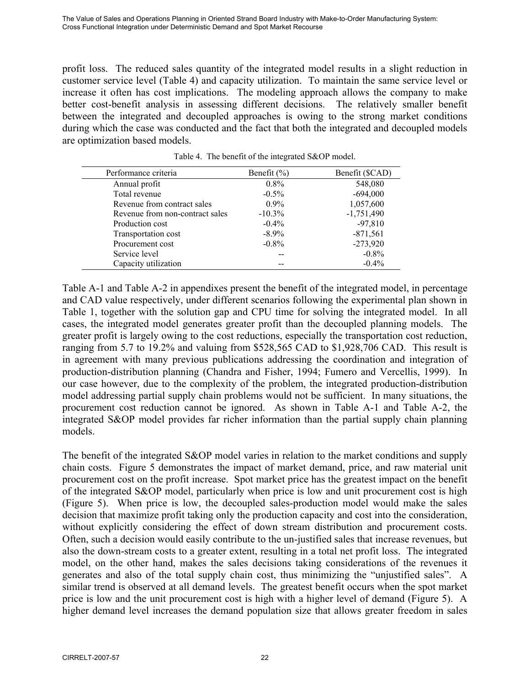profit loss. The reduced sales quantity of the integrated model results in a slight reduction in customer service level (Table 4) and capacity utilization. To maintain the same service level or increase it often has cost implications. The modeling approach allows the company to make better cost-benefit analysis in assessing different decisions. The relatively smaller benefit between the integrated and decoupled approaches is owing to the strong market conditions during which the case was conducted and the fact that both the integrated and decoupled models are optimization based models.

| Performance criteria            | Benefit $(\% )$ | Benefit (\$CAD) |
|---------------------------------|-----------------|-----------------|
| Annual profit                   | $0.8\%$         | 548,080         |
| Total revenue                   | $-0.5\%$        | $-694,000$      |
| Revenue from contract sales     | $0.9\%$         | 1,057,600       |
| Revenue from non-contract sales | $-10.3\%$       | $-1,751,490$    |
| Production cost                 | $-0.4\%$        | $-97,810$       |
| Transportation cost             | $-8.9\%$        | $-871,561$      |
| Procurement cost                | $-0.8\%$        | $-273,920$      |
| Service level                   |                 | $-0.8%$         |
| Capacity utilization            |                 | $-0.4%$         |

Table 4. The benefit of the integrated S&OP model.

Table A-1 and Table A-2 in appendixes present the benefit of the integrated model, in percentage and CAD value respectively, under different scenarios following the experimental plan shown in Table 1, together with the solution gap and CPU time for solving the integrated model. In all cases, the integrated model generates greater profit than the decoupled planning models. The greater profit is largely owing to the cost reductions, especially the transportation cost reduction, ranging from 5.7 to 19.2% and valuing from \$528,565 CAD to \$1,928,706 CAD. This result is in agreement with many previous publications addressing the coordination and integration of production-distribution planning (Chandra and Fisher, 1994; Fumero and Vercellis, 1999). In our case however, due to the complexity of the problem, the integrated production-distribution model addressing partial supply chain problems would not be sufficient. In many situations, the procurement cost reduction cannot be ignored. As shown in Table A-1 and Table A-2, the integrated S&OP model provides far richer information than the partial supply chain planning models.

The benefit of the integrated S&OP model varies in relation to the market conditions and supply chain costs. Figure 5 demonstrates the impact of market demand, price, and raw material unit procurement cost on the profit increase. Spot market price has the greatest impact on the benefit of the integrated S&OP model, particularly when price is low and unit procurement cost is high (Figure 5). When price is low, the decoupled sales-production model would make the sales decision that maximize profit taking only the production capacity and cost into the consideration, without explicitly considering the effect of down stream distribution and procurement costs. Often, such a decision would easily contribute to the un-justified sales that increase revenues, but also the down-stream costs to a greater extent, resulting in a total net profit loss. The integrated model, on the other hand, makes the sales decisions taking considerations of the revenues it generates and also of the total supply chain cost, thus minimizing the "unjustified sales". A similar trend is observed at all demand levels. The greatest benefit occurs when the spot market price is low and the unit procurement cost is high with a higher level of demand (Figure 5). A higher demand level increases the demand population size that allows greater freedom in sales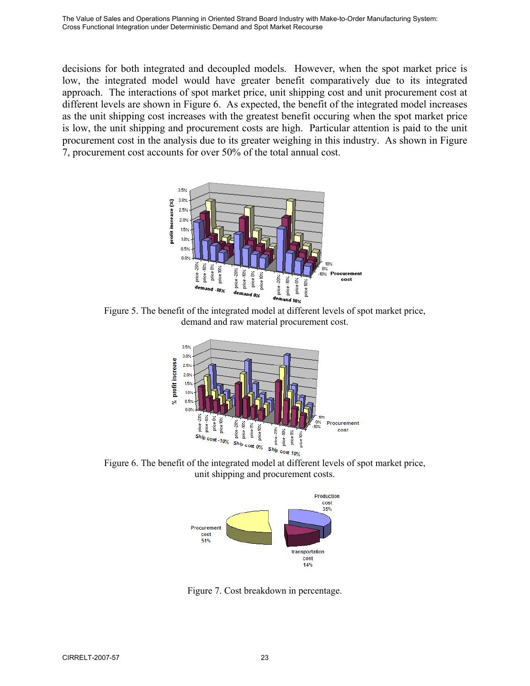decisions for both integrated and decoupled models. However, when the spot market price is low, the integrated model would have greater benefit comparatively due to its integrated approach. The interactions of spot market price, unit shipping cost and unit procurement cost at different levels are shown in Figure 6. As expected, the benefit of the integrated model increases as the unit shipping cost increases with the greatest benefit occuring when the spot market price is low, the unit shipping and procurement costs are high. Particular attention is paid to the unit procurement cost in the analysis due to its greater weighing in this industry. As shown in Figure 7, procurement cost accounts for over 50% of the total annual cost.



Figure 5. The benefit of the integrated model at different levels of spot market price, demand and raw material procurement cost.



Figure 6. The benefit of the integrated model at different levels of spot market price, unit shipping and procurement costs.



Figure 7. Cost breakdown in percentage.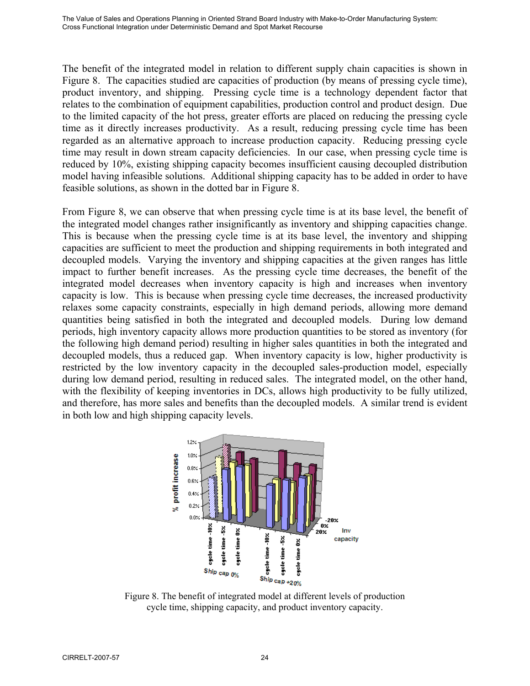The benefit of the integrated model in relation to different supply chain capacities is shown in Figure 8. The capacities studied are capacities of production (by means of pressing cycle time), product inventory, and shipping. Pressing cycle time is a technology dependent factor that relates to the combination of equipment capabilities, production control and product design. Due to the limited capacity of the hot press, greater efforts are placed on reducing the pressing cycle time as it directly increases productivity. As a result, reducing pressing cycle time has been regarded as an alternative approach to increase production capacity. Reducing pressing cycle time may result in down stream capacity deficiencies. In our case, when pressing cycle time is reduced by 10%, existing shipping capacity becomes insufficient causing decoupled distribution model having infeasible solutions. Additional shipping capacity has to be added in order to have feasible solutions, as shown in the dotted bar in Figure 8.

From Figure 8, we can observe that when pressing cycle time is at its base level, the benefit of the integrated model changes rather insignificantly as inventory and shipping capacities change. This is because when the pressing cycle time is at its base level, the inventory and shipping capacities are sufficient to meet the production and shipping requirements in both integrated and decoupled models. Varying the inventory and shipping capacities at the given ranges has little impact to further benefit increases. As the pressing cycle time decreases, the benefit of the integrated model decreases when inventory capacity is high and increases when inventory capacity is low. This is because when pressing cycle time decreases, the increased productivity relaxes some capacity constraints, especially in high demand periods, allowing more demand quantities being satisfied in both the integrated and decoupled models. During low demand periods, high inventory capacity allows more production quantities to be stored as inventory (for the following high demand period) resulting in higher sales quantities in both the integrated and decoupled models, thus a reduced gap. When inventory capacity is low, higher productivity is restricted by the low inventory capacity in the decoupled sales-production model, especially during low demand period, resulting in reduced sales. The integrated model, on the other hand, with the flexibility of keeping inventories in DCs, allows high productivity to be fully utilized, and therefore, has more sales and benefits than the decoupled models. A similar trend is evident in both low and high shipping capacity levels.



Figure 8. The benefit of integrated model at different levels of production cycle time, shipping capacity, and product inventory capacity.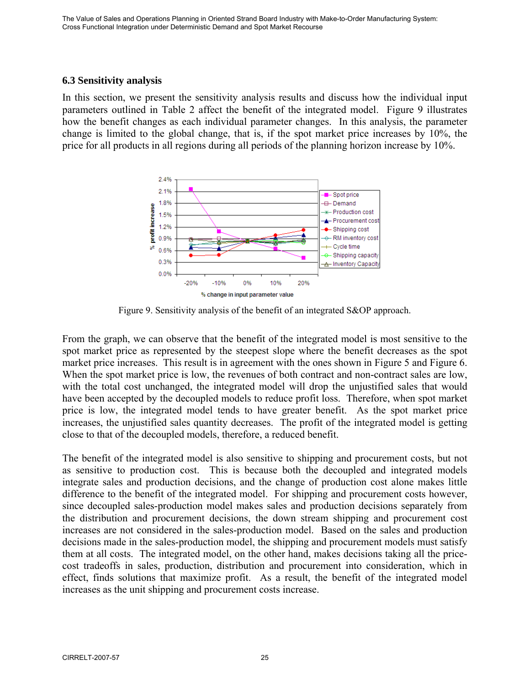#### **6.3 Sensitivity analysis**

In this section, we present the sensitivity analysis results and discuss how the individual input parameters outlined in Table 2 affect the benefit of the integrated model. Figure 9 illustrates how the benefit changes as each individual parameter changes. In this analysis, the parameter change is limited to the global change, that is, if the spot market price increases by 10%, the price for all products in all regions during all periods of the planning horizon increase by 10%.



Figure 9. Sensitivity analysis of the benefit of an integrated S&OP approach.

From the graph, we can observe that the benefit of the integrated model is most sensitive to the spot market price as represented by the steepest slope where the benefit decreases as the spot market price increases. This result is in agreement with the ones shown in Figure 5 and Figure 6. When the spot market price is low, the revenues of both contract and non-contract sales are low, with the total cost unchanged, the integrated model will drop the unjustified sales that would have been accepted by the decoupled models to reduce profit loss. Therefore, when spot market price is low, the integrated model tends to have greater benefit. As the spot market price increases, the unjustified sales quantity decreases. The profit of the integrated model is getting close to that of the decoupled models, therefore, a reduced benefit.

The benefit of the integrated model is also sensitive to shipping and procurement costs, but not as sensitive to production cost. This is because both the decoupled and integrated models integrate sales and production decisions, and the change of production cost alone makes little difference to the benefit of the integrated model. For shipping and procurement costs however, since decoupled sales-production model makes sales and production decisions separately from the distribution and procurement decisions, the down stream shipping and procurement cost increases are not considered in the sales-production model. Based on the sales and production decisions made in the sales-production model, the shipping and procurement models must satisfy them at all costs. The integrated model, on the other hand, makes decisions taking all the pricecost tradeoffs in sales, production, distribution and procurement into consideration, which in effect, finds solutions that maximize profit. As a result, the benefit of the integrated model increases as the unit shipping and procurement costs increase.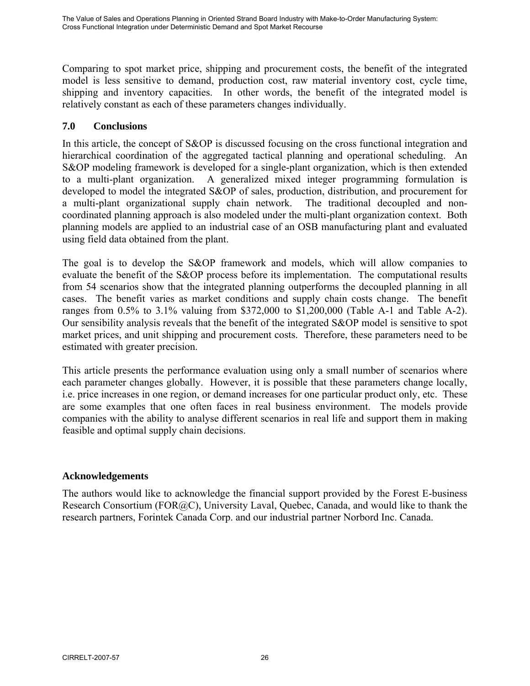Comparing to spot market price, shipping and procurement costs, the benefit of the integrated model is less sensitive to demand, production cost, raw material inventory cost, cycle time, shipping and inventory capacities. In other words, the benefit of the integrated model is relatively constant as each of these parameters changes individually.

# **7.0 Conclusions**

In this article, the concept of S&OP is discussed focusing on the cross functional integration and hierarchical coordination of the aggregated tactical planning and operational scheduling. An S&OP modeling framework is developed for a single-plant organization, which is then extended to a multi-plant organization. A generalized mixed integer programming formulation is developed to model the integrated S&OP of sales, production, distribution, and procurement for a multi-plant organizational supply chain network. The traditional decoupled and noncoordinated planning approach is also modeled under the multi-plant organization context. Both planning models are applied to an industrial case of an OSB manufacturing plant and evaluated using field data obtained from the plant.

The goal is to develop the S&OP framework and models, which will allow companies to evaluate the benefit of the S&OP process before its implementation. The computational results from 54 scenarios show that the integrated planning outperforms the decoupled planning in all cases. The benefit varies as market conditions and supply chain costs change. The benefit ranges from 0.5% to 3.1% valuing from \$372,000 to \$1,200,000 (Table A-1 and Table A-2). Our sensibility analysis reveals that the benefit of the integrated S&OP model is sensitive to spot market prices, and unit shipping and procurement costs. Therefore, these parameters need to be estimated with greater precision.

This article presents the performance evaluation using only a small number of scenarios where each parameter changes globally. However, it is possible that these parameters change locally, i.e. price increases in one region, or demand increases for one particular product only, etc. These are some examples that one often faces in real business environment. The models provide companies with the ability to analyse different scenarios in real life and support them in making feasible and optimal supply chain decisions.

# **Acknowledgements**

The authors would like to acknowledge the financial support provided by the Forest E-business Research Consortium (FOR@C), University Laval, Quebec, Canada, and would like to thank the research partners, Forintek Canada Corp. and our industrial partner Norbord Inc. Canada.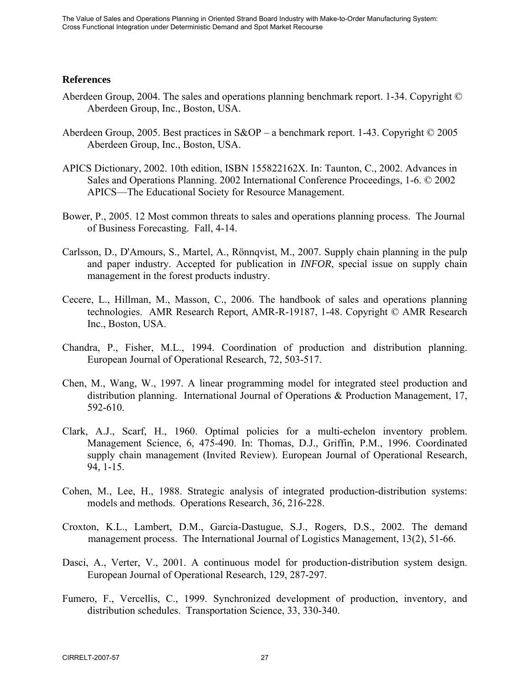#### **References**

- Aberdeen Group, 2004. The sales and operations planning benchmark report. 1-34. Copyright © Aberdeen Group, Inc., Boston, USA.
- Aberdeen Group, 2005. Best practices in S&OP a benchmark report. 1-43. Copyright © 2005 Aberdeen Group, Inc., Boston, USA.
- APICS Dictionary, 2002. 10th edition, ISBN 155822162X. In: Taunton, C., 2002. Advances in Sales and Operations Planning. 2002 International Conference Proceedings, 1-6. © 2002 APICS—The Educational Society for Resource Management.
- Bower, P., 2005. 12 Most common threats to sales and operations planning process. The Journal of Business Forecasting. Fall, 4-14.
- Carlsson, D., D'Amours, S., Martel, A., Rönnqvist, M., 2007. Supply chain planning in the pulp and paper industry. Accepted for publication in *INFOR*, special issue on supply chain management in the forest products industry.
- Cecere, L., Hillman, M., Masson, C., 2006. The handbook of sales and operations planning technologies. AMR Research Report, AMR-R-19187, 1-48. Copyright © AMR Research Inc., Boston, USA.
- Chandra, P., Fisher, M.L., 1994. Coordination of production and distribution planning. European Journal of Operational Research, 72, 503-517.
- Chen, M., Wang, W., 1997. A linear programming model for integrated steel production and distribution planning. International Journal of Operations & Production Management, 17, 592-610.
- Clark, A.J., Scarf, H., 1960. Optimal policies for a multi-echelon inventory problem. Management Science, 6, 475-490. In: Thomas, D.J., Griffin, P.M., 1996. Coordinated supply chain management (Invited Review). European Journal of Operational Research, 94, 1-15.
- Cohen, M., Lee, H., 1988. Strategic analysis of integrated production-distribution systems: models and methods. Operations Research, 36, 216-228.
- Croxton, K.L., Lambert, D.M., Garcia-Dastugue, S.J., Rogers, D.S., 2002. The demand management process. The International Journal of Logistics Management, 13(2), 51-66.
- Dasci, A., Verter, V., 2001. A continuous model for production-distribution system design. European Journal of Operational Research, 129, 287-297.
- Fumero, F., Vercellis, C., 1999. Synchronized development of production, inventory, and distribution schedules. Transportation Science, 33, 330-340.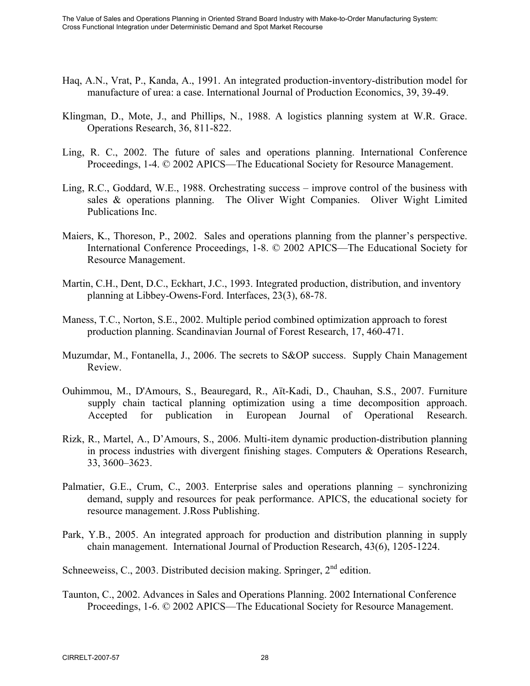- Haq, A.N., Vrat, P., Kanda, A., 1991. An integrated production-inventory-distribution model for manufacture of urea: a case. International Journal of Production Economics, 39, 39-49.
- Klingman, D., Mote, J., and Phillips, N., 1988. A logistics planning system at W.R. Grace. Operations Research, 36, 811-822.
- Ling, R. C., 2002. The future of sales and operations planning. International Conference Proceedings, 1-4. © 2002 APICS—The Educational Society for Resource Management.
- Ling, R.C., Goddard, W.E., 1988. Orchestrating success improve control of the business with sales & operations planning. The Oliver Wight Companies. Oliver Wight Limited Publications Inc.
- Maiers, K., Thoreson, P., 2002. Sales and operations planning from the planner's perspective. International Conference Proceedings, 1-8. © 2002 APICS—The Educational Society for Resource Management.
- Martin, C.H., Dent, D.C., Eckhart, J.C., 1993. Integrated production, distribution, and inventory planning at Libbey-Owens-Ford. Interfaces, 23(3), 68-78.
- Maness, T.C., Norton, S.E., 2002. Multiple period combined optimization approach to forest production planning. Scandinavian Journal of Forest Research, 17, 460-471.
- Muzumdar, M., Fontanella, J., 2006. The secrets to S&OP success. Supply Chain Management Review.
- Ouhimmou, M., D'Amours, S., Beauregard, R., Aït-Kadi, D., Chauhan, S.S., 2007. Furniture supply chain tactical planning optimization using a time decomposition approach. Accepted for publication in European Journal of Operational Research.
- Rizk, R., Martel, A., D'Amours, S., 2006. Multi-item dynamic production-distribution planning in process industries with divergent finishing stages. Computers & Operations Research, 33, 3600–3623.
- Palmatier, G.E., Crum, C., 2003. Enterprise sales and operations planning synchronizing demand, supply and resources for peak performance. APICS, the educational society for resource management. J.Ross Publishing.
- Park, Y.B., 2005. An integrated approach for production and distribution planning in supply chain management. International Journal of Production Research, 43(6), 1205-1224.

Schneeweiss, C., 2003. Distributed decision making. Springer,  $2<sup>nd</sup>$  edition.

Taunton, C., 2002. Advances in Sales and Operations Planning. 2002 International Conference Proceedings, 1-6. © 2002 APICS—The Educational Society for Resource Management.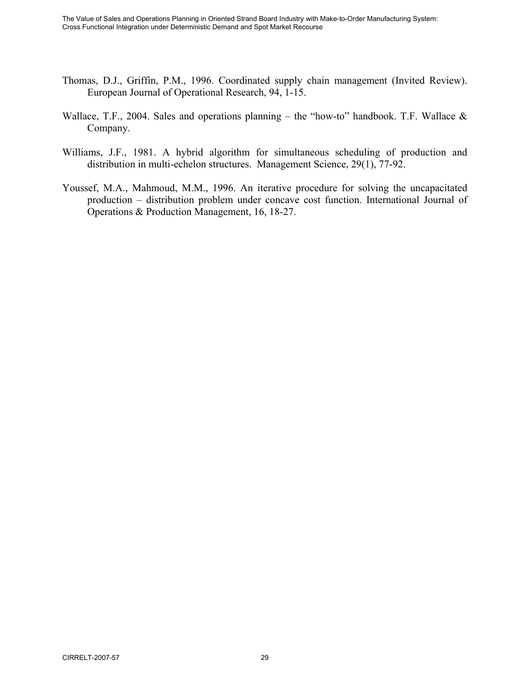- Thomas, D.J., Griffin, P.M., 1996. Coordinated supply chain management (Invited Review). European Journal of Operational Research, 94, 1-15.
- Wallace, T.F., 2004. Sales and operations planning the "how-to" handbook. T.F. Wallace  $\&$ Company.
- Williams, J.F., 1981. A hybrid algorithm for simultaneous scheduling of production and distribution in multi-echelon structures. Management Science, 29(1), 77-92.
- Youssef, M.A., Mahmoud, M.M., 1996. An iterative procedure for solving the uncapacitated production – distribution problem under concave cost function. International Journal of Operations & Production Management, 16, 18-27.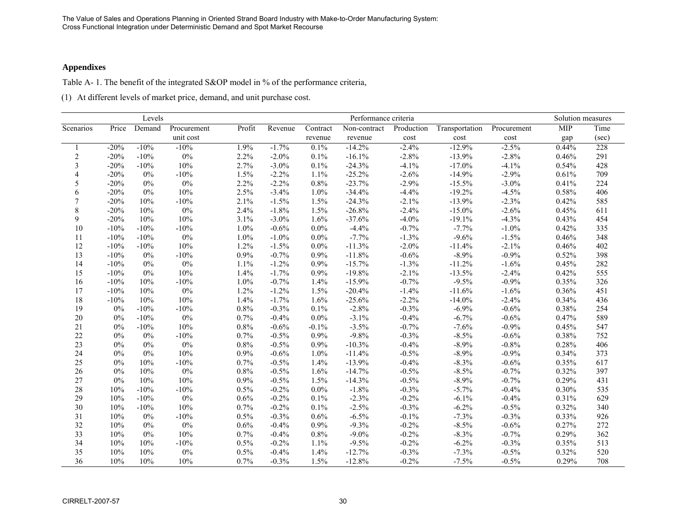#### **Appendixes**

Table A- 1. The benefit of the integrated S&OP model in % of the performance criteria,

(1) At different levels of market price, demand, and unit purchase cost.

|                |        | Levels |             |        | Performance criteria |          |              |            |                |             | Solution measures |       |
|----------------|--------|--------|-------------|--------|----------------------|----------|--------------|------------|----------------|-------------|-------------------|-------|
| Scenarios      | Price  | Demand | Procurement | Profit | Revenue              | Contract | Non-contract | Production | Transportation | Procurement | <b>MIP</b>        | Time  |
|                |        |        | unit cost   |        |                      | revenue  | revenue      | cost       | cost           | cost        | gap               | (sec) |
|                | $-20%$ | $-10%$ | $-10%$      | 1.9%   | $-1.7%$              | 0.1%     | $-14.2%$     | $-2.4%$    | $-12.9%$       | $-2.5%$     | 0.44%             | 228   |
| $\overline{2}$ | $-20%$ | $-10%$ | $0\%$       | 2.2%   | $-2.0%$              | 0.1%     | $-16.1%$     | $-2.8%$    | $-13.9%$       | $-2.8%$     | 0.46%             | 291   |
| 3              | $-20%$ | $-10%$ | 10%         | 2.7%   | $-3.0\%$             | 0.1%     | $-24.3%$     | $-4.1%$    | $-17.0\%$      | $-4.1%$     | 0.54%             | 428   |
| $\overline{4}$ | $-20%$ | $0\%$  | $-10%$      | 1.5%   | $-2.2%$              | 1.1%     | $-25.2%$     | $-2.6%$    | $-14.9%$       | $-2.9%$     | 0.61%             | 709   |
| 5              | $-20%$ | 0%     | $0\%$       | 2.2%   | $-2.2%$              | 0.8%     | $-23.7%$     | $-2.9%$    | $-15.5%$       | $-3.0\%$    | 0.41%             | 224   |
| 6              | $-20%$ | $0\%$  | 10%         | 2.5%   | $-3.4%$              | $1.0\%$  | $-34.4%$     | $-4.4%$    | $-19.2%$       | $-4.5%$     | 0.58%             | 406   |
| $\tau$         | $-20%$ | 10%    | $-10%$      | 2.1%   | $-1.5%$              | 1.5%     | $-24.3%$     | $-2.1%$    | $-13.9%$       | $-2.3%$     | 0.42%             | 585   |
| $\,$ 8 $\,$    | $-20%$ | 10%    | $0\%$       | 2.4%   | $-1.8%$              | 1.5%     | $-26.8%$     | $-2.4%$    | $-15.0\%$      | $-2.6%$     | 0.45%             | 611   |
| 9              | $-20%$ | 10%    | 10%         | 3.1%   | $-3.0\%$             | 1.6%     | $-37.6%$     | $-4.0%$    | $-19.1%$       | $-4.3%$     | 0.43%             | 454   |
| 10             | $-10%$ | $-10%$ | $-10%$      | 1.0%   | $-0.6%$              | 0.0%     | $-4.4%$      | $-0.7%$    | $-7.7%$        | $-1.0%$     | 0.42%             | 335   |
| 11             | $-10%$ | $-10%$ | $0\%$       | 1.0%   | $-1.0%$              | 0.0%     | $-7.7%$      | $-1.3%$    | $-9.6%$        | $-1.5%$     | 0.46%             | 348   |
| 12             | $-10%$ | $-10%$ | 10%         | 1.2%   | $-1.5%$              | $0.0\%$  | $-11.3%$     | $-2.0%$    | $-11.4%$       | $-2.1%$     | 0.46%             | 402   |
| 13             | $-10%$ | $0\%$  | $-10%$      | 0.9%   | $-0.7%$              | 0.9%     | $-11.8%$     | $-0.6%$    | $-8.9%$        | $-0.9%$     | 0.52%             | 398   |
| 14             | $-10%$ | 0%     | $0\%$       | 1.1%   | $-1.2%$              | 0.9%     | $-15.7%$     | $-1.3%$    | $-11.2%$       | $-1.6%$     | 0.45%             | 282   |
| 15             | $-10%$ | 0%     | 10%         | 1.4%   | $-1.7%$              | 0.9%     | $-19.8%$     | $-2.1%$    | $-13.5%$       | $-2.4%$     | 0.42%             | 555   |
| 16             | $-10%$ | 10%    | $-10%$      | 1.0%   | $-0.7%$              | 1.4%     | $-15.9%$     | $-0.7%$    | $-9.5%$        | $-0.9%$     | 0.35%             | 326   |
| 17             | $-10%$ | 10%    | $0\%$       | 1.2%   | $-1.2%$              | 1.5%     | $-20.4%$     | $-1.4%$    | $-11.6%$       | $-1.6%$     | 0.36%             | 451   |
| 18             | $-10%$ | 10%    | 10%         | 1.4%   | $-1.7%$              | 1.6%     | $-25.6%$     | $-2.2%$    | $-14.0%$       | $-2.4%$     | 0.34%             | 436   |
| 19             | $0\%$  | $-10%$ | $-10%$      | 0.8%   | $-0.3%$              | 0.1%     | $-2.8%$      | $-0.3%$    | $-6.9%$        | $-0.6%$     | 0.38%             | 254   |
| 20             | 0%     | $-10%$ | $0\%$       | 0.7%   | $-0.4%$              | $0.0\%$  | $-3.1%$      | $-0.4%$    | $-6.7%$        | $-0.6%$     | 0.47%             | 589   |
| 21             | $0\%$  | $-10%$ | 10%         | 0.8%   | $-0.6%$              | $-0.1%$  | $-3.5%$      | $-0.7%$    | $-7.6%$        | $-0.9%$     | 0.45%             | 547   |
| $22\,$         | 0%     | 0%     | $-10%$      | 0.7%   | $-0.5%$              | 0.9%     | $-9.8%$      | $-0.3%$    | $-8.5%$        | $-0.6%$     | 0.38%             | 752   |
| 23             | 0%     | 0%     | $0\%$       | 0.8%   | $-0.5%$              | 0.9%     | $-10.3%$     | $-0.4%$    | $-8.9%$        | $-0.8%$     | 0.28%             | 406   |
| 24             | 0%     | $0\%$  | 10%         | 0.9%   | $-0.6%$              | 1.0%     | $-11.4%$     | $-0.5%$    | $-8.9%$        | $-0.9%$     | 0.34%             | 373   |
| 25             | $0\%$  | 10%    | $-10%$      | 0.7%   | $-0.5%$              | 1.4%     | $-13.9%$     | $-0.4%$    | $-8.3%$        | $-0.6%$     | 0.35%             | 617   |
| 26             | $0\%$  | 10%    | $0\%$       | 0.8%   | $-0.5%$              | 1.6%     | $-14.7%$     | $-0.5%$    | $-8.5%$        | $-0.7%$     | 0.32%             | 397   |
| 27             | $0\%$  | 10%    | 10%         | 0.9%   | $-0.5%$              | 1.5%     | $-14.3%$     | $-0.5%$    | $-8.9%$        | $-0.7%$     | 0.29%             | 431   |
| 28             | 10%    | $-10%$ | $-10%$      | 0.5%   | $-0.2%$              | 0.0%     | $-1.8%$      | $-0.3%$    | $-5.7%$        | $-0.4%$     | 0.30%             | 535   |
| 29             | 10%    | $-10%$ | $0\%$       | 0.6%   | $-0.2%$              | 0.1%     | $-2.3%$      | $-0.2%$    | $-6.1%$        | $-0.4%$     | 0.31%             | 629   |
| 30             | 10%    | $-10%$ | 10%         | 0.7%   | $-0.2%$              | 0.1%     | $-2.5%$      | $-0.3%$    | $-6.2%$        | $-0.5%$     | 0.32%             | 340   |
| 31             | 10%    | 0%     | $-10%$      | 0.5%   | $-0.3%$              | 0.6%     | $-6.5%$      | $-0.1%$    | $-7.3%$        | $-0.3%$     | $0.33\%$          | 926   |
| 32             | 10%    | 0%     | $0\%$       | 0.6%   | $-0.4%$              | 0.9%     | $-9.3%$      | $-0.2%$    | $-8.5%$        | $-0.6%$     | 0.27%             | 272   |
| 33             | 10%    | $0\%$  | 10%         | 0.7%   | $-0.4%$              | $0.8\%$  | $-9.0\%$     | $-0.2%$    | $-8.3%$        | $-0.7%$     | 0.29%             | 362   |
| 34             | 10%    | 10%    | $-10%$      | 0.5%   | $-0.2%$              | 1.1%     | $-9.5%$      | $-0.2%$    | $-6.2%$        | $-0.3%$     | 0.35%             | 513   |
| 35             | 10%    | 10%    | $0\%$       | 0.5%   | $-0.4%$              | 1.4%     | $-12.7%$     | $-0.3%$    | $-7.3%$        | $-0.5%$     | 0.32%             | 520   |
| 36             | 10%    | 10%    | 10%         | 0.7%   | $-0.3%$              | 1.5%     | $-12.8%$     | $-0.2%$    | $-7.5%$        | $-0.5%$     | 0.29%             | 708   |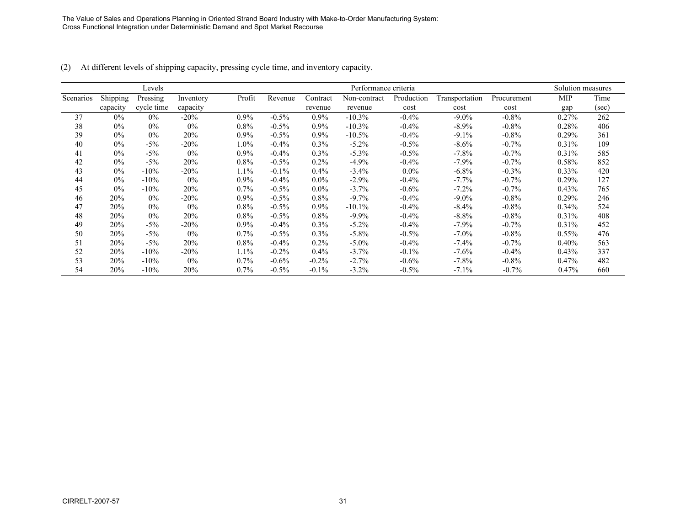|           |          | Levels     |           |         | Performance criteria |          |              |            |                |             | Solution measures |       |
|-----------|----------|------------|-----------|---------|----------------------|----------|--------------|------------|----------------|-------------|-------------------|-------|
| Scenarios | Shipping | Pressing   | Inventory | Profit  | Revenue              | Contract | Non-contract | Production | Transportation | Procurement | MIP               | Time  |
|           | capacity | cycle time | capacity  |         |                      | revenue  | revenue      | cost       | cost           | cost        | gap               | (sec) |
| 37        | $0\%$    | $0\%$      | $-20\%$   | $0.9\%$ | $-0.5%$              | $0.9\%$  | $-10.3%$     | $-0.4%$    | $-9.0\%$       | $-0.8\%$    | 0.27%             | 262   |
| 38        | $0\%$    | $0\%$      | $0\%$     | $0.8\%$ | $-0.5%$              | $0.9\%$  | $-10.3%$     | $-0.4%$    | $-8.9\%$       | $-0.8\%$    | 0.28%             | 406   |
| 39        | $0\%$    | 0%         | 20%       | $0.9\%$ | $-0.5%$              | $0.9\%$  | $-10.5%$     | $-0.4%$    | $-9.1\%$       | $-0.8\%$    | 0.29%             | 361   |
| 40        | $0\%$    | $-5\%$     | $-20\%$   | $1.0\%$ | $-0.4%$              | $0.3\%$  | $-5.2\%$     | $-0.5\%$   | $-8.6\%$       | $-0.7\%$    | 0.31%             | 109   |
| 41        | $0\%$    | $-5\%$     | $0\%$     | $0.9\%$ | $-0.4\%$             | $0.3\%$  | $-5.3\%$     | $-0.5%$    | $-7.8%$        | $-0.7\%$    | 0.31%             | 585   |
| 42        | $0\%$    | $-5\%$     | 20%       | $0.8\%$ | $-0.5%$              | $0.2\%$  | $-4.9%$      | $-0.4%$    | $-7.9\%$       | $-0.7\%$    | 0.58%             | 852   |
| 43        | $0\%$    | $-10\%$    | $-20\%$   | 1.1%    | $-0.1\%$             | $0.4\%$  | $-3.4\%$     | $0.0\%$    | $-6.8\%$       | $-0.3\%$    | $0.33\%$          | 420   |
| 44        | $0\%$    | $-10%$     | $0\%$     | $0.9\%$ | $-0.4%$              | $0.0\%$  | $-2.9\%$     | $-0.4%$    | $-7.7\%$       | $-0.7\%$    | 0.29%             | 127   |
| 45        | $0\%$    | $-10\%$    | 20%       | $0.7\%$ | $-0.5%$              | $0.0\%$  | $-3.7%$      | $-0.6%$    | $-7.2\%$       | $-0.7\%$    | 0.43%             | 765   |
| 46        | 20%      | 0%         | $-20%$    | $0.9\%$ | $-0.5%$              | $0.8\%$  | $-9.7\%$     | $-0.4%$    | $-9.0\%$       | $-0.8\%$    | 0.29%             | 246   |
| 47        | 20%      | 0%         | $0\%$     | $0.8\%$ | $-0.5%$              | $0.9\%$  | $-10.1\%$    | $-0.4%$    | $-8.4\%$       | $-0.8\%$    | $0.34\%$          | 524   |
| 48        | 20%      | 0%         | 20%       | $0.8\%$ | $-0.5%$              | $0.8\%$  | $-9.9\%$     | $-0.4%$    | $-8.8\%$       | $-0.8\%$    | 0.31%             | 408   |
| 49        | 20%      | $-5\%$     | $-20\%$   | $0.9\%$ | $-0.4%$              | $0.3\%$  | $-5.2\%$     | $-0.4%$    | $-7.9\%$       | $-0.7\%$    | 0.31%             | 452   |
| 50        | 20%      | $-5\%$     | $0\%$     | $0.7\%$ | $-0.5%$              | $0.3\%$  | $-5.8\%$     | $-0.5%$    | $-7.0\%$       | $-0.8\%$    | $0.55\%$          | 476   |
| 51        | 20%      | $-5\%$     | 20%       | $0.8\%$ | $-0.4%$              | $0.2\%$  | $-5.0\%$     | $-0.4\%$   | $-7.4\%$       | $-0.7\%$    | $0.40\%$          | 563   |
| 52        | 20%      | $-10\%$    | $-20%$    | $1.1\%$ | $-0.2%$              | $0.4\%$  | $-3.7%$      | $-0.1\%$   | $-7.6%$        | $-0.4\%$    | 0.43%             | 337   |
| 53        | 20%      | $-10%$     | $0\%$     | $0.7\%$ | $-0.6%$              | $-0.2\%$ | $-2.7%$      | $-0.6%$    | $-7.8%$        | $-0.8\%$    | 0.47%             | 482   |
| 54        | 20%      | $-10\%$    | 20%       | $0.7\%$ | $-0.5%$              | $-0.1\%$ | $-3.2\%$     | $-0.5\%$   | $-7.1\%$       | $-0.7%$     | 0.47%             | 660   |

(2) At different levels of shipping capacity, pressing cycle time, and inventory capacity.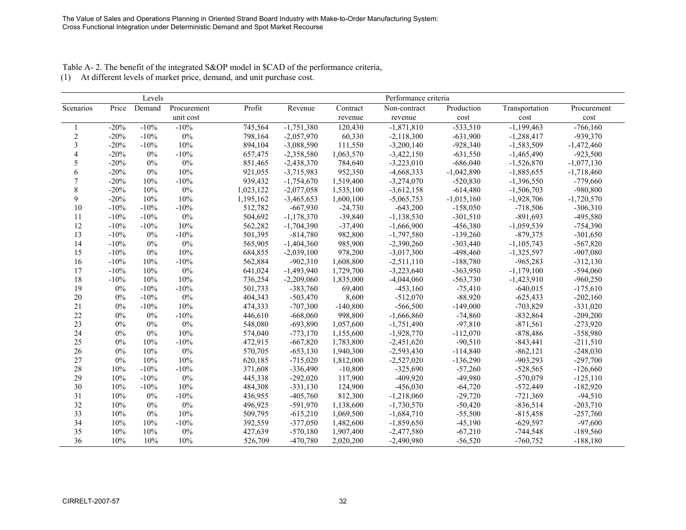Table A- 2. The benefit of the integrated S&OP model in \$CAD of the performance criteria,

(1) At different levels of market price, demand, and unit purchase cost.

|                |        | Levels |             | Performance criteria |              |            |              |              |                |              |
|----------------|--------|--------|-------------|----------------------|--------------|------------|--------------|--------------|----------------|--------------|
| Scenarios      | Price  | Demand | Procurement | Profit               | Revenue      | Contract   | Non-contract | Production   | Transportation | Procurement  |
|                |        |        | unit cost   |                      |              | revenue    | revenue      | cost         | cost           | cost         |
|                | $-20%$ | $-10%$ | $-10%$      | 745,564              | $-1,751,380$ | 120,430    | $-1,871,810$ | $-533,510$   | $-1,199,463$   | $-766,160$   |
| $\overline{2}$ | $-20%$ | $-10%$ | $0\%$       | 798,164              | $-2,057,970$ | 60,330     | $-2,118,300$ | $-631,900$   | $-1,288,417$   | $-939,370$   |
| 3              | $-20%$ | $-10%$ | 10%         | 894,104              | $-3,088,590$ | 111,550    | $-3,200,140$ | $-928,340$   | $-1,583,509$   | $-1,472,460$ |
| $\overline{4}$ | $-20%$ | $0\%$  | $-10%$      | 657,475              | $-2,358,580$ | 1,063,570  | $-3,422,150$ | $-631,550$   | $-1,465,490$   | $-923,500$   |
| 5              | $-20%$ | 0%     | $0\%$       | 851,465              | $-2,438,370$ | 784,640    | $-3,223,010$ | $-686,040$   | $-1,526,870$   | $-1,077,130$ |
| 6              | $-20%$ | $0\%$  | 10%         | 921,055              | $-3,715,983$ | 952,350    | $-4,668,333$ | $-1,042,890$ | $-1,885,655$   | $-1,718,460$ |
| $\overline{7}$ | $-20%$ | 10%    | $-10%$      | 939,432              | $-1,754,670$ | 1,519,400  | $-3,274,070$ | $-520,830$   | $-1,396,550$   | $-779,660$   |
| 8              | $-20%$ | 10%    | $0\%$       | 1,023,122            | $-2,077,058$ | 1,535,100  | $-3,612,158$ | $-614,480$   | $-1,506,703$   | -980,800     |
| 9              | $-20%$ | 10%    | 10%         | 1,195,162            | $-3,465,653$ | 1,600,100  | $-5,065,753$ | $-1,015,160$ | $-1,928,706$   | $-1,720,570$ |
| 10             | $-10%$ | $-10%$ | $-10%$      | 512,782              | $-667,930$   | $-24,730$  | $-643,200$   | $-158,050$   | $-718,506$     | $-306,310$   |
| 11             | $-10%$ | $-10%$ | $0\%$       | 504,692              | $-1,178,370$ | $-39,840$  | $-1,138,530$ | $-301,510$   | $-891,693$     | $-495,580$   |
| 12             | $-10%$ | $-10%$ | 10%         | 562,282              | $-1,704,390$ | $-37,490$  | $-1,666,900$ | $-456,380$   | $-1,059,539$   | $-754,390$   |
| 13             | $-10%$ | 0%     | $-10%$      | 501,395              | $-814,780$   | 982,800    | $-1,797,580$ | $-139,260$   | $-879,375$     | $-301,650$   |
| 14             | $-10%$ | 0%     | $0\%$       | 565,905              | $-1,404,360$ | 985,900    | $-2,390,260$ | $-303,440$   | $-1,105,743$   | $-567,820$   |
| 15             | $-10%$ | $0\%$  | 10%         | 684,855              | $-2,039,100$ | 978,200    | $-3,017,300$ | -498,460     | $-1,325,597$   | $-907,080$   |
| 16             | $-10%$ | 10%    | $-10%$      | 562,884              | $-902,310$   | 1,608,800  | $-2,511,110$ | $-188,780$   | $-965,283$     | $-312,130$   |
| 17             | $-10%$ | 10%    | $0\%$       | 641,024              | $-1,493,940$ | 1,729,700  | $-3,223,640$ | $-363,950$   | $-1,179,100$   | $-594,060$   |
| 18             | $-10%$ | 10%    | 10%         | 736,254              | $-2,209,060$ | 1,835,000  | $-4,044,060$ | $-563,730$   | $-1,423,910$   | $-960,250$   |
| 19             | 0%     | $-10%$ | $-10%$      | 501,733              | $-383,760$   | 69,400     | $-453,160$   | $-75,410$    | $-640,015$     | $-175,610$   |
| $20\,$         | 0%     | $-10%$ | 0%          | 404,343              | $-503,470$   | 8,600      | $-512,070$   | $-88,920$    | $-625,433$     | $-202,160$   |
| 21             | $0\%$  | $-10%$ | 10%         | 474,333              | $-707,300$   | $-140,800$ | $-566,500$   | $-149,000$   | $-703,829$     | $-331,020$   |
| $22\,$         | $0\%$  | 0%     | $-10%$      | 446,610              | $-668,060$   | 998,800    | $-1,666,860$ | $-74,860$    | $-832,864$     | $-209,200$   |
| 23             | $0\%$  | $0\%$  | $0\%$       | 548,080              | $-693,890$   | 1,057,600  | $-1,751,490$ | $-97,810$    | $-871,561$     | $-273,920$   |
| 24             | 0%     | 0%     | 10%         | 574,040              | $-773,170$   | 1,155,600  | $-1,928,770$ | $-112,070$   | $-878,486$     | -358,980     |
| 25             | $0\%$  | 10%    | $-10%$      | 472,915              | $-667,820$   | 1,783,800  | $-2,451,620$ | $-90,510$    | $-843,441$     | $-211,510$   |
| 26             | 0%     | 10%    | $0\%$       | 570,705              | $-653,130$   | 1,940,300  | $-2,593,430$ | $-114,840$   | $-862, 121$    | $-248,030$   |
| 27             | $0\%$  | 10%    | 10%         | 620,185              | $-715,020$   | 1,812,000  | $-2,527,020$ | $-136,290$   | $-903,293$     | $-297,700$   |
| $28\,$         | 10%    | $-10%$ | $-10%$      | 371,608              | $-336,490$   | $-10,800$  | $-325,690$   | $-57,260$    | $-528,565$     | $-126,660$   |
| 29             | 10%    | $-10%$ | 0%          | 445,338              | $-292,020$   | 117,900    | $-409,920$   | $-49,980$    | $-570,079$     | $-125,110$   |
| 30             | 10%    | $-10%$ | 10%         | 484,308              | $-331,130$   | 124,900    | $-456,030$   | $-64,720$    | $-572,449$     | $-182,920$   |
| 31             | 10%    | 0%     | $-10%$      | 436,955              | $-405,760$   | 812,300    | $-1,218,060$ | $-29,720$    | $-721,369$     | $-94,510$    |
| 32             | 10%    | 0%     | $0\%$       | 496,925              | $-591,970$   | 1,138,600  | $-1,730,570$ | $-50,420$    | $-836,514$     | $-203,710$   |
| 33             | 10%    | 0%     | 10%         | 509,795              | $-615,210$   | 1,069,500  | $-1,684,710$ | $-55,500$    | $-815,458$     | $-257,760$   |
| 34             | 10%    | 10%    | $-10%$      | 392,559              | $-377,050$   | 1,482,600  | $-1,859,650$ | $-45,190$    | $-629,597$     | $-97,600$    |
| 35             | 10%    | 10%    | $0\%$       | 427,639              | $-570,180$   | 1,907,400  | $-2,477,580$ | $-67,210$    | $-744,548$     | $-189,560$   |
| 36             | 10%    | 10%    | 10%         | 526,709              | $-470,780$   | 2,020,200  | $-2,490,980$ | $-56,520$    | $-760,752$     | $-188,180$   |